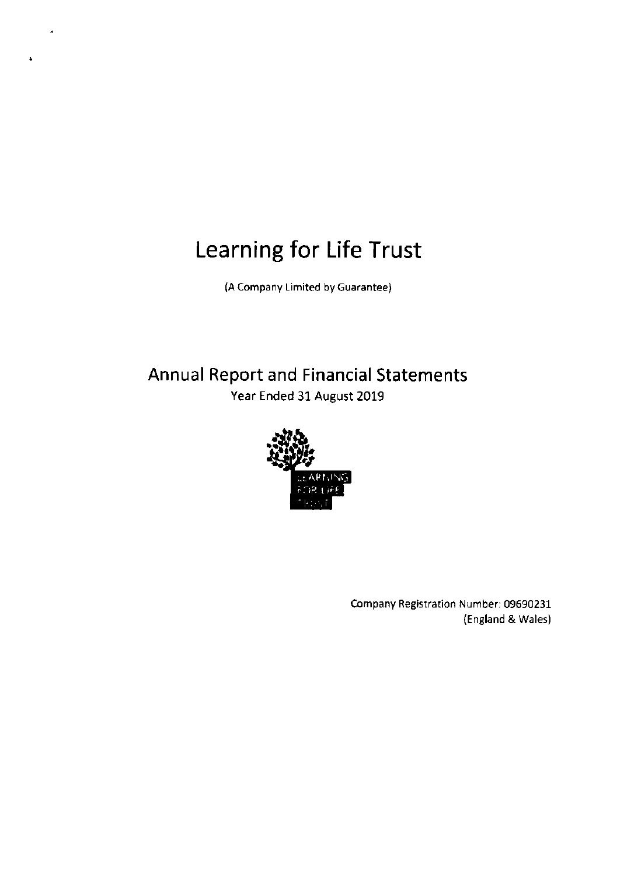(A Company Limited by Guarantee)

# Annual Report and Financial Statements Year Ended 31 August 2019



Company Registration Number: 09690231 (England & Wales)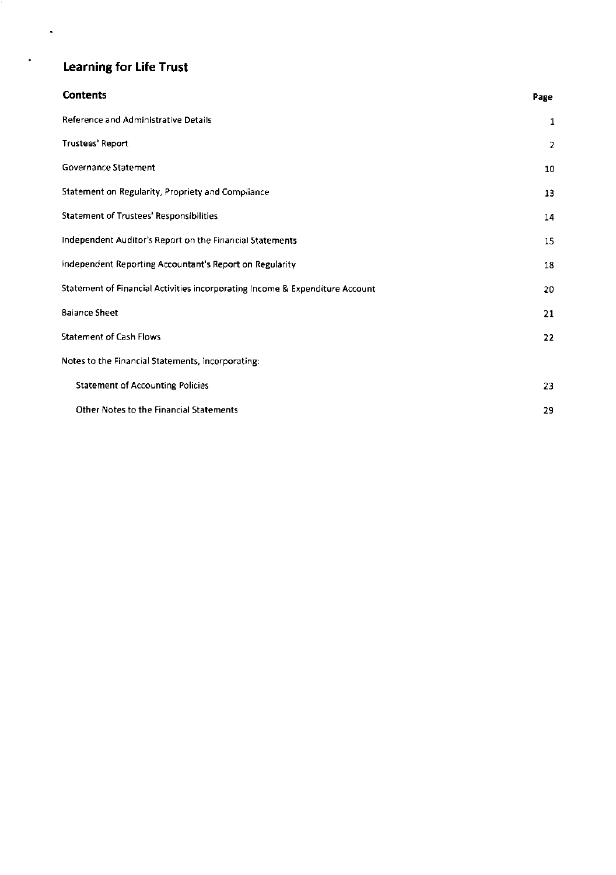$\ddot{\phantom{0}}$ 

 $\ddot{\bullet}$ 

| <b>Contents</b>                                                              | Page           |
|------------------------------------------------------------------------------|----------------|
| Reference and Administrative Details                                         | 1              |
| Trustees' Report                                                             | $\overline{2}$ |
| Governance Statement                                                         | 10             |
| Statement on Regularity, Propriety and Compliance                            | 13             |
| <b>Statement of Trustees' Responsibilities</b>                               | 14             |
| Independent Auditor's Report on the Financial Statements                     | 15             |
| Independent Reporting Accountant's Report on Regularity                      | 18             |
| Statement of Financial Activities incorporating Income & Expenditure Account | 20             |
| <b>Balance Sheet</b>                                                         | 21             |
| <b>Statement of Cash Flows</b>                                               | 22             |
| Notes to the Financial Statements, incorporating:                            |                |
| <b>Statement of Accounting Policies</b>                                      | 23             |
| Other Notes to the Financial Statements                                      | 29             |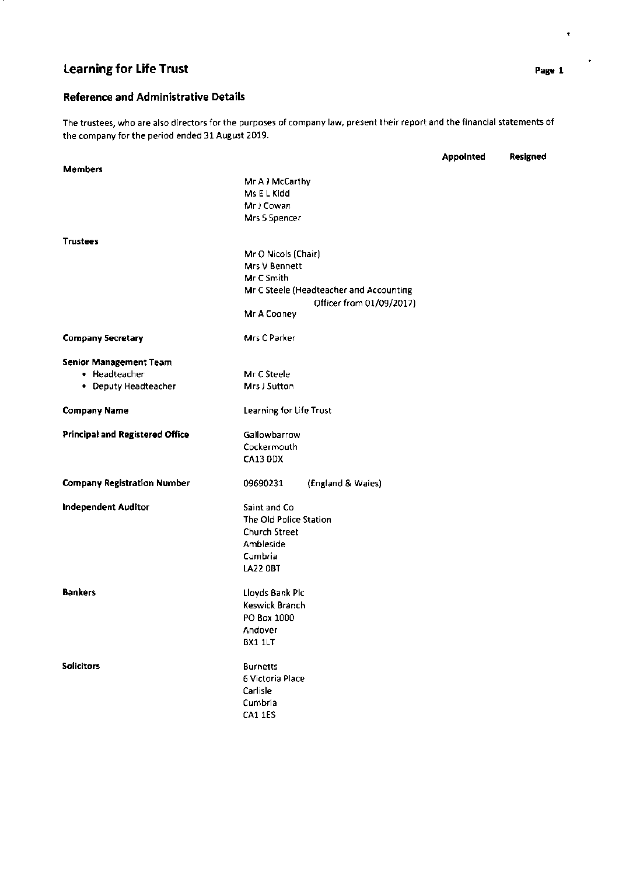# Reference and Administrative Details

The trustees, who are also directors for the purposes of company law, present their report and the financial statements of the company for the period ended 31 August 2019.

|                                        |                                         | <b>Appointed</b> | Resigned |
|----------------------------------------|-----------------------------------------|------------------|----------|
| <b>Members</b>                         |                                         |                  |          |
|                                        | Mr A J McCarthy                         |                  |          |
|                                        | Ms E L Kidd                             |                  |          |
|                                        | Mr J Cowan                              |                  |          |
|                                        | Mrs S Spencer                           |                  |          |
| <b>Trustees</b>                        |                                         |                  |          |
|                                        | Mr O Nicols (Chair)                     |                  |          |
|                                        | Mrs V Bennett                           |                  |          |
|                                        | Mr C Smith                              |                  |          |
|                                        | Mr C Steele (Headteacher and Accounting |                  |          |
|                                        | Officer from 01/09/2017)                |                  |          |
|                                        | Mr A Cooney                             |                  |          |
| <b>Company Secretary</b>               | Mrs C Parker                            |                  |          |
| <b>Senior Management Team</b>          |                                         |                  |          |
| • Headteacher                          | Mr C Steele                             |                  |          |
| • Deputy Headteacher                   | Mrs J Sutton                            |                  |          |
| <b>Company Name</b>                    | Learning for Life Trust                 |                  |          |
| <b>Principal and Registered Office</b> | Gallowbarrow                            |                  |          |
|                                        | Cockermouth                             |                  |          |
|                                        | CA13 0DX                                |                  |          |
| <b>Company Registration Number</b>     | (England & Wales)<br>09690231           |                  |          |
| <b>Independent Auditor</b>             | Saint and Co.                           |                  |          |
|                                        | The Old Police Station                  |                  |          |
|                                        | <b>Church Street</b>                    |                  |          |
|                                        | Ambleside                               |                  |          |
|                                        | Cumbria                                 |                  |          |
|                                        | <b>LA22 OBT</b>                         |                  |          |
| <b>Bankers</b>                         | Lloyds Bank Plc                         |                  |          |
|                                        | Keswick Branch                          |                  |          |
|                                        | PO Box 1000                             |                  |          |
|                                        | Andover                                 |                  |          |
|                                        | BX1 1LT                                 |                  |          |
| <b>Solicitors</b>                      | <b>Burnetts</b>                         |                  |          |
|                                        | 6 Victoria Place                        |                  |          |
|                                        | Carlisle                                |                  |          |
|                                        | Cumbria                                 |                  |          |
|                                        | CA1 1ES                                 |                  |          |
|                                        |                                         |                  |          |

 $\bullet$ 

 $\ddot{\phantom{0}}$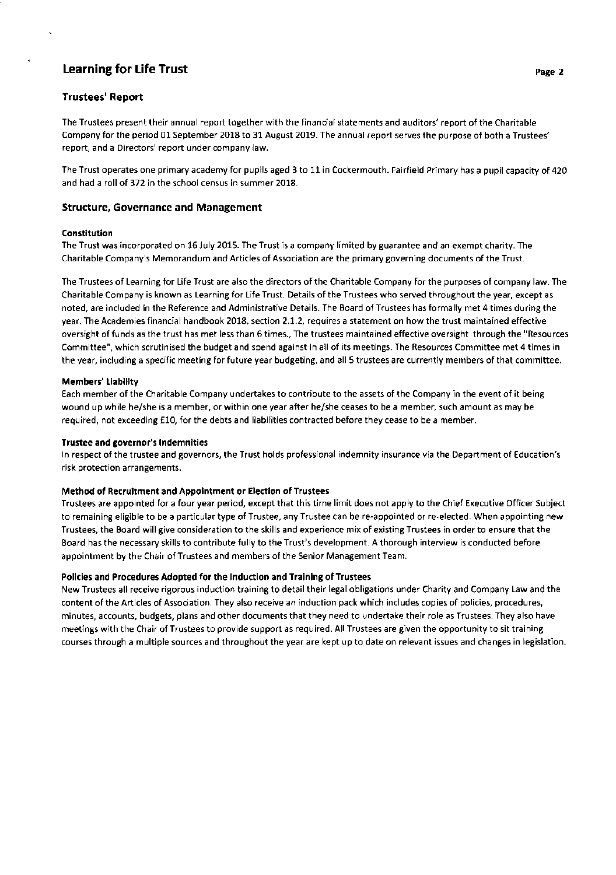# Trustees'Report

The Trustees present their annual report together with the financial statements and auditors' report of the Charitable Company for the period 01 September 2018 to 31 August 2019. The annual report serves the purpose of both a Trustees' report, and a Directors' report under company law.

The Trust operates one primary academy for pupils aged 3 to 11 in Cockermouth. Fairfield Primary has a pupil capacity of 420 and had a roll of 372 in the school census in summer 2018.

## Structure, Governance and Management

## Constitution

The Trust was incorporated on 16 July 2015. The Trust is a company limited by guarantee and an exempt charity. The Charitable Company's Memorandum and Articles of Association are the primary governing documents of the Trust.

The Trustees of Learning for Life Trust are also the directors of the Charitable Company for the purposes of company law. The Charitable Company is known as Learning for Life Trust. Details of the Trustees who served throughout the year, except as noted, are included in the Reference and Administrative Details. The Board of Trustees has formally met 4 times during the year. The Academies financial handbook 2018, section 2.1.2, requires a statement on how the trust maintained effective oversight of funds as the trust has met less than 6 times., The trustees maintained effective oversight through the "Resources Committee", which scrutinised the budget and spend against in all of its meetings. The Resources Committee met 4 times in the year, including a specific meeting for future year budgeting, and all 5 trustees are currently members of that committee.

## Members' Liability

Each member of the Charitable Company undertakes to contribute to the assets of the Company in the event of it being wound up while he/she is a member, or within one year after he/she ceases to be a member, such amount as may be required, not exceeding £10, for the debts and liabilities contracted before they cease to be a member.

#### Trustee and governor's lndemnities

ln respect of the trustee and governors, the Trust holds professional indemnity insurance via the Department of Education's risk protection arrangements.

## Method of Recruitment and Appointment or Election of Trustees

Trustees are appointed for a four year period, except that this time limit does not apply to the Chief Executive Officer Subject to remaining eligible to be a particular type of Trustee, any Trustee can be re-appointed or re-elected. When appointing new Trustees, the Board will give consideration to the skills and experience mix of existing Trustees in order to ensure that the Board has the necessary skills to contribute fully to the Trust's development. A thorough interview is conducted before appointment by the Chair of Trustees and members of the Senior Management Team.

## Policies and Procedures Adopted for the lnduction and Training of Trustees

New Trustees all receive rigorous induction training to detail their legal obligations under Charity and Company Law and the content of the Articles of Association. They also receive an induction pack which includes copies of policies, procedures, minutes, accounts, budgets, plans and other documents that they need to undertake their role as Trustees. They also have meetings with the Chair of Trustees to provide support as required. All Trustees are given the opportunity to sit training courses through a multiple sources and throughout the year are kept up to date on relevant issues and changes in legislation.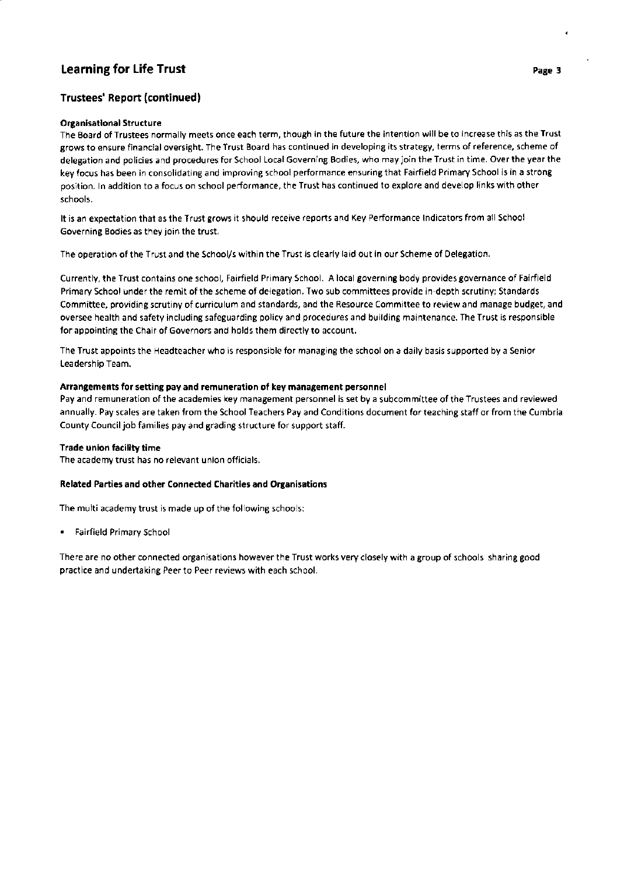# Trustees' Report (continued)

## Organisational Structure

The Board of Trustees normally meets once each term, though in the future the intention will be to increase this as the Trust grows to ensure financial oversight. The Trust Board has continued in developing its strategy, terms of reference, scheme of delegation and policies and procedures for School Local Governing Bodies, who may join the Trust in time. Over the year the key focus has been in consolidating and improving school performance ensuring that Fairfield Primary School is in a strong position. ln addition to a focus on school performance, the Trust has continued to explore and develop links with other schools.

It is an expectation that as the Trust grows it should receive reports and Key Performance lndicators from all School Governing Bodies as they join the trust.

The operation of the Trust and the School/s within the Trust is clearly laid out in our Scheme of Delegation.

Currently, the Trust contains one school, Fairfield Primary School. A local governing body provides governance of Fairfield Primary School under the remit of the scheme of delegation. Two sub committees provide in-depth scrutiny; Standards Committee, providing scrutiny of curriculum and standards, and the Resource Committee to review and manage budget, and oversee health and safety including safeguarding policy and procedures and building maintenance. The Trust is responsible for appointing the Chair of Governors and holds them directly to account.

The Trust appoints the Headteacher who is responsible for managing the school on a daily basis supported by a Senior Leadership Team.

## Arrangements for setting pay and remuneration of key management personnel

Pay and remuneration of the academies key management personnel is set by a subcommittee of the Trustees and reviewed annually. Pay scales are taken from the School Teachers Pay and Conditions document for teaching staff or from the Cumbria County Council job families pay and grading structure for support staff.

## Trade union facility time

The academy trust has no relevant union officials.

#### Related Parties and other Connected Charities and Organisations

The multi academy trust is made up of the following schools:

. Fairfield Primary School

There are no other connected organisations however the Trust works very closely with a group of schools sharing good practice and undertaking Peer to Peer reviews with each school.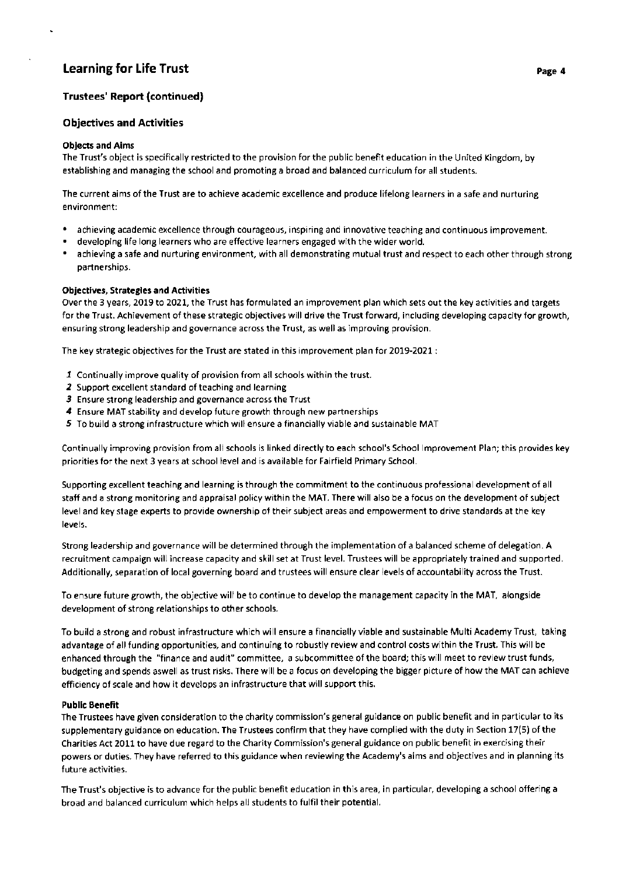# Trustees' Report (continued)

## Objectives and Activities

## Objects and Aims

The Trust's object is specifically restricted to the provision for the public benefit education in the United Kingdom, by establishing and managing the school and promoting a broad and balanced curriculum for all students.

The current aims of the Trust are to achieve academic excellence and produce lifelong learners in a safe and nurturing environment:

- . achieving academic excellence through courageous, inspiring and innovative teaching and continuous improvement.
- . developing life long learners who are effective learners engaged with the wider world.
- . achieving a safe and nurturing environment, with all demonstrating mutual trust and respect to each other through strong partnerships.

## Obiectives, Strategies and Activities

Over the 3 years, 2019 to 2021, the Trust has formulated an improvement plan which sets out the key activities and targets for the Trust. Achievement of these strategic objectives will drive the Trust forward, including developing capacity for growth, ensuring strong leadership and governance across the Trust, as well as improving provision.

The key strategic objectives for the Trust are stated in this improvement plan for 2019-2021:

- I Continually improve quality of provision from all schools within the trust.
- 2 Support excellent standard of teaching and learning
- 3 Ensure strong leadership and governance across the Trust
- 4 Ensure MAT stability and develop future growth through new partnerships
- 5 To build a strong infrastructure which will ensure a financially viable and sustainable MAT

Continually improving provision from all schools is linked directly to each school's School lmprovement Plan; this provides key priorities for the next 3 years at school level and is available for Fairfield Primary School.

Supporting excellent teaching and learning is through the commitment to the continuous professional development of all staff and a strong monitoring and appraisal policy within the MAT. There will also be a focus on the development of subject level and key stage experts to provide ownership of their subject areas and empowerment to drive standards at the key levels.

Strong leadership and governance will be determined through the implementation of a balanced scheme of delegation. A recruitment campaign will increase capacity and skill set at Trust level. Trustees will be appropriately trained and supported. Additionally, separation of local governing board and trustees will ensure clear levels of accountability across the Trust.

To ensure future growth, the objective will be to continue to develop the management capacity in the MAT, alongside development of strong relationships to other schools.

To build a strong and robust infrastructure which will ensure a financially viable and sustainable Multi Academy Trust, taking advantage of all funding opportunities, and continuing to robustly review and control costs within the Trust. This will be enhanced through the "finance and audit" committee, a subcommittee of the board; this will meet to review trust funds, budgeting and spends aswell as trust risks. There will be a focus on developing the bigger picture of how the MAT can achieve efficiency of scale and how it develops an infrastructure that will support this.

#### Public Benefit

The Trustees have given consideration to the charity commission's general guidance on public benefit and in particular to its supplementary guidance on education. The Trustees confirm that they have complied with the duty in Section 17(5) of the Charities Act 2011 to have due regard to the Charity Commission's general guidance on public benefit in exercising their powers or duties. They have referred to this guidance when reviewing the Academy's aims and objectives and in planning its future activities.

The Trust's objective is to advance for the public benefit education in this area, in particular, developing a school offering <sup>a</sup> broad and balanced curriculum which helps all students to fulfil their potential.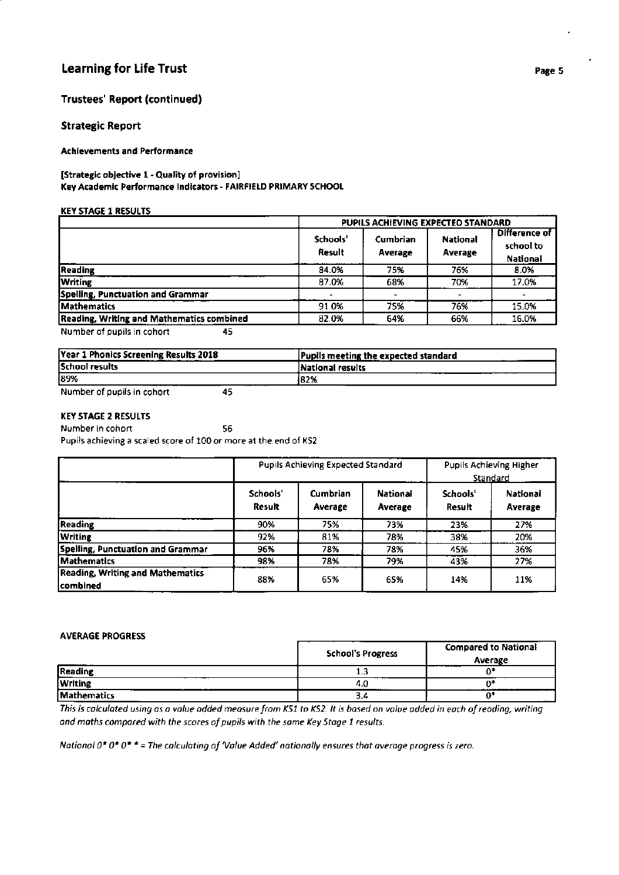# Trustees' Report (continued)

## Strategic Report

## Achlevements and Performance

## [Strategic objective 1 - Quality of provision] Key Academic Performance lndicators - FAIRFIEID PRIMARY SCHOOL

#### **KEY STAGE 1 RESULTS**

|                                                  | PUPILS ACHIEVING EXPECTED STANDARD |                     |                            |                                               |  |
|--------------------------------------------------|------------------------------------|---------------------|----------------------------|-----------------------------------------------|--|
|                                                  | Schools'<br>Result                 | Cumbrian<br>Average | <b>National</b><br>Average | <b>Difference of</b><br>school to<br>National |  |
| <b>Reading</b>                                   | 84.0%                              | 75%                 | 76%                        | 8.0%                                          |  |
| <b>Writing</b>                                   | 87.0%                              | 68%                 | 70%                        | 17.0%                                         |  |
| Spelling, Punctuation and Grammar                |                                    |                     |                            |                                               |  |
| Mathematics                                      | 91.0%                              | 75%                 | 76%                        | 15.0%                                         |  |
| <b>Reading, Writing and Mathematics combined</b> | 82.0%                              | 64%                 | 66%                        | 16.0%                                         |  |
| Number of nunite in cohom.<br>ᆁᄃ                 |                                    |                     |                            |                                               |  |

Number of pupils in cohort <sup>45</sup>

| Year 1 Phonics Screening Results 2018 | Pupils meeting the expected standard<br>. |
|---------------------------------------|-------------------------------------------|
| School results                        | National results                          |
| 189%                                  | 182%                                      |
| .                                     |                                           |

Number of pupils in cohort <sup>45</sup>

## KEY STAGE 2 RESULTS

Number in cohort 56 Pupils achieving a scaled score of 100 or more at the end of KS2

|                                                      | <b>Pupils Achieving Expected Standard</b> |                     |                            | Pupils Achieving Higher<br>Standard |                     |
|------------------------------------------------------|-------------------------------------------|---------------------|----------------------------|-------------------------------------|---------------------|
|                                                      | Schools'<br>Result                        | Cumbrian<br>Average | <b>National</b><br>Average | Schools'<br>Result                  | National<br>Average |
| <b>Reading</b>                                       | 90%                                       | 75%                 | 73%                        | 23%                                 | 27%                 |
| <b>Writing</b>                                       | 92%                                       | 81%                 | 78%                        | 38%                                 | 20%                 |
| Spelling, Punctuation and Grammar                    | 96%                                       | 78%                 | 78%                        | 45%                                 | 36%                 |
| Mathematics                                          | 98%                                       | 78%                 | 79%                        | 43%                                 | 27%                 |
| <b>Reading, Writing and Mathematics</b><br> combined | 88%                                       | 65%                 | 65%                        | 14%                                 | 11%                 |

## AVERAGE PROGRESS

|                | <b>School's Progress</b> | <b>Compared to National</b><br>Average          |
|----------------|--------------------------|-------------------------------------------------|
| <b>Reading</b> | .                        |                                                 |
| <b>Writing</b> | 4.U<br>.                 |                                                 |
| Mathematics    | э.ч                      | the contract of the contract of the contract of |

This is calculated using as a value added measure from KS1 to KS2. It is based on value added in each of reading, writing and maths compared with the scores of pupils with the same Key Stage 1 results.

National 0\* 0\* 0\* \* = The calculating of 'Value Added' nationally ensures that average progress is zero.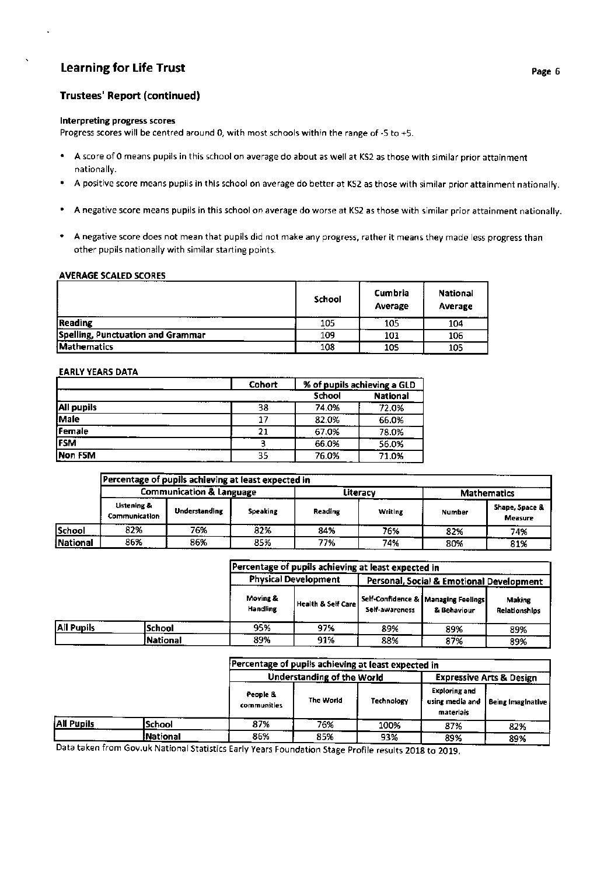# Learning for Life Trust page 6 and 200 million control of the control of the control of the control of the control of the control of the control of the control of the control of the control of the control of the control of

# Trustees' Report (continued)

#### lnterpreting progress scores

Progress scores will be centred around 0, with most schools within the range of -5 to +5.

- ' A score of 0 means pupils in this school on average do about as well at KS2 as those with similar prior attainment nationally.
- ' A positive score means pupils in this school on average do better at KS2 as those with similar prior attainment nationally.
- ' A negative score means pupils in this school on average do worse at KS2 as those with similar prior attainment nationally.
- ' A negative score does not mean that pupils did not make any progress, rather it means they made less progress than other pupils nationally with similar starting points.

## AVERAGE SCALED SCORES

|                                   | School | Cumbria<br>Average | <b>National</b><br>Average |
|-----------------------------------|--------|--------------------|----------------------------|
| Reading                           | 105    | 105                | 104                        |
| Spelling, Punctuation and Grammar | 109    | 101                | 106                        |
| <b>Mathematics</b>                | 108    | 105                | 105                        |

#### **EARLY YEARS DATA**

|                   | Cohort | % of pupils achieving a GLD |       |  |
|-------------------|--------|-----------------------------|-------|--|
|                   |        |                             |       |  |
| <b>All pupils</b> | 38     | 74.0%                       | 72.0% |  |
| Male              | 17     | 82.0%                       | 66.0% |  |
| Female            | 21     | 67.0%                       | 78.0% |  |
| <b>FSM</b>        |        | 66.0%                       | 56.0% |  |
| Non FSM           | 35     | 76.0%                       | 71.0% |  |

|          |                                     | Percentage of pupils achieving at least expected in |          |         |          |               |                                  |
|----------|-------------------------------------|-----------------------------------------------------|----------|---------|----------|---------------|----------------------------------|
|          | <b>Communication &amp; Language</b> |                                                     |          |         | Literacy |               | <b>Mathematics</b>               |
|          | Listening &<br><b>Communication</b> | <b>Understanding</b>                                | Speaking | Reading | Writing  | <b>Number</b> | Shape, Space &<br><b>Measure</b> |
| School   | 82%                                 | 76%                                                 | 82%      | 84%     | 76%      | 82%           | 74%                              |
| National | 86%                                 | 86%                                                 | 85%      | 77%     | 74%      | 80%           | 81%                              |

|             |          |                             | Percentage of pupils achieving at least expected in                     |                |                                                        |                         |  |
|-------------|----------|-----------------------------|-------------------------------------------------------------------------|----------------|--------------------------------------------------------|-------------------------|--|
|             |          |                             | <b>Physical Development</b><br>Personal, Social & Emotional Development |                |                                                        |                         |  |
|             |          | Moving &<br><b>Handling</b> | Health & Self Carel                                                     | Self-awareness | Self-Confidence &   Managing Feelings  <br>& Behaviour | Making<br>Relationships |  |
| lAil Pupils | lSchool  | 95%                         | 97%                                                                     | 89%            | 89%                                                    | 89%                     |  |
|             | National | 89%                         | 91%                                                                     | 88%            | 87%                                                    | 89%                     |  |

|            |               | Percentage of pupils achieving at least expected in |                                   |            |                                                      |                                     |
|------------|---------------|-----------------------------------------------------|-----------------------------------|------------|------------------------------------------------------|-------------------------------------|
|            |               |                                                     | <b>Understanding of the World</b> |            |                                                      | <b>Expressive Arts &amp; Design</b> |
|            |               | People &<br><b>communities</b>                      | The World                         | Technology | <b>Exploring and</b><br>using media and<br>materials | Being Imaginative                   |
| All Pupils | <b>School</b> | 87%                                                 | 76%                               | 100%       | 87%                                                  | 82%                                 |
|            | National      | 86%                                                 | 85%                               | 93%        | 89%                                                  | 89%                                 |

Data taken from Gov.uk National Statistics Early Years Foundation Stage Profile results 2018 to 2019.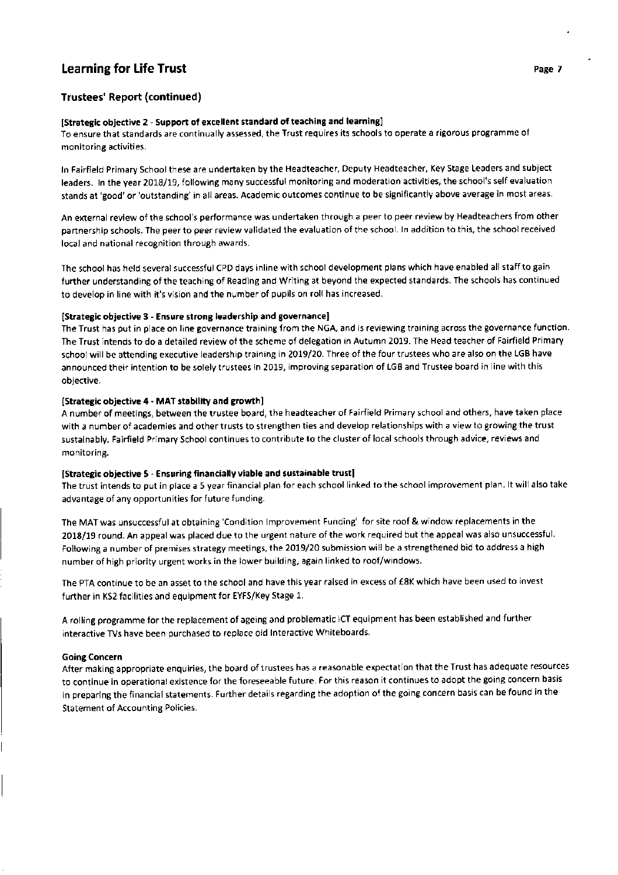## Trustees' Report (continued)

#### [Strategic objective 2 - Support of excellent standard of teaching and learning]

To ensure that standards are continually assessed, the Trust requires its schools to operate a rigorous programme of monitoring activities.

ln Fairfield Primary School these are undertaken by the Headteacher, Deputy Headteacher, Key Stage Leaders and subject leaders. In the year 2018/19, following many successful monitoring and moderation activities, the school's self evaluation stands at 'good' or'outstanding' in all areas. Academic outcomes continue to be significantly above average in most areas.

An external review of the school's performance was undertaken through a peer to peer review by Headteachers from other partnership schools. The peer to peer review validated the evaluation of the school. ln addition to this, the school received local and national recognition through awards.

The school has held several successful CPD days inline with school development plans which have enabled all staff to gain further understanding of the teaching of Reading and Writing at beyond the expected standards. The schools has continued to develop in line with it's vision and the number of pupils on roll has increased.

#### [Strategic objective 3 - Ensure strong leadership and governance]

The Trust has put in place on line governance training from the NGA, and is reviewing training across the governance function. The Trust intends to do a detailed review of the scheme of delegation in Autumn 2019. The Head teacher of Fairfield Primary school will be attending executive leadership training in 2019/20. Three of the four trustees who are also on the LGB have announced their intention to be solely trustees in 2019, improving separation of LGB and Trustee board in line with this objective.

## [Strategic objective 4 - MAT stability and growth]

A number of meetings, between the trustee board, the headteacher of Fairfield Primary school and others, have taken place with a number of academies and other trusts to strengthen ties and develop relationships with a view to growing the trust sustainably. Fairfield Primary School continues to contribute to the cluster of local schools through advice, reviews and monitoring.

#### [Strategic objective 5 - Ensuring financially viable and sustainable trust]

The trust intends to put in place a 5 year financial plan for each school linked to the school improvement plan. lt will also take advantage of any opportunities for future funding.

The MAT was unsuccessful at obtaining 'Condition lmprovement Funding' for site roof & window replacements in the 2018/19 round. An appeal was placed due to the urgent nature of the work required but the appeal was also unsuccessful. Following a number of premises strategy meetings, the 2019/20 submission will be a strengthened bid to address a high number of high priority urgent works in the lower building, again linked to roof/windows.

The PTA continue to be an asset to the school and have this year raised in excess of €8K which have been used to invest further in KS2 facilities and equipment for EYFS/Key Stage 1.

<sup>A</sup>rolling programme for the replacement of ageing and problematic ICT equipment has been established and further interactive TVs have been purchased to replace old lnteractive Whiteboards.

#### Going Concern

After making appropriate enquiries, the board of trustees has a reasonable expectation that the Trust has adequate resources to continue in operational existence for the foreseeable future. For this reason it continues to adopt the going concern basis in preparing the financial statements. Further details regarding the adoption of the going concern basis can be found in the Statement of Accounting Policies.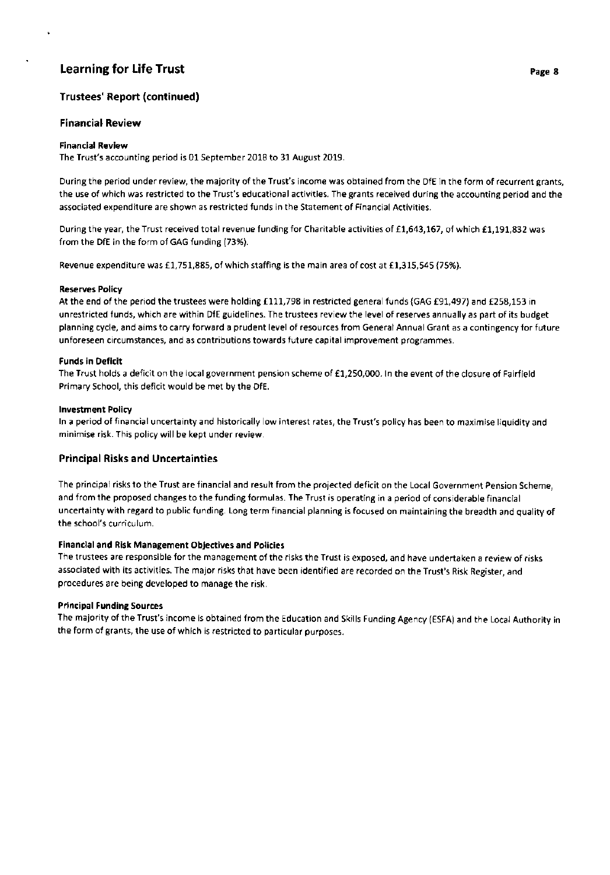# Trustees' Report (continued)

## **Financial Review**

## Financial Review

The Trust's accounting period is 01 September 2018 to 31 August 2019.

During the period under review, the majority of the Trust's income was obtained from the DfE in the form of recurrent grants, the use of which was restricted to the Trust's educational activities. The grants received during the accounting period and the associated expenditure are shown as restricted funds in the Statement of Financial Activities.

During the year, the Trust received total revenue funding for Charitable activities of £1,643,167, of which £1,191,832 was from the DfE in the form of GAG funding (73%).

Revenue expenditure was £1,751,885, of which staffing is the main area of cost at £1,315,545 (75%).

## Reserves Policy

At the end of the period the trustees were holding £111,798 in restricted general funds (GAG £91,497) and £258,153 in unrestricted funds, which are within DfE guidelines. The trustees review the level of reserves annually as part of its budget planning cycle, and aims to carry forward a prudent level of resources from General Annual Grant as a contingency for future unforeseen circumstances, and as contributions towards future capital improvement programmes.

## Funds in Deficit

The Trust holds a deficit on the local government pension scheme of £1,250,000. In the event of the closure of Fairfield Primary School, this deficit would be met by the DfE.

## lnvestment Policy

ln a period of financial uncertainty and historically low interest rates, the Trust's policy has been to maximise liquidity and minimise risk. This policy will be kept under review.

## Principa! Risks and Uncertainties

The principal risks to the Trust are financial and result from the projected deficit on the Local Government Pension Scheme, and from the proposed changes to the funding formulas. The Trust is operating in a period of considerable financial uncertainty with regard to public funding. Long term financial planning is focused on maintaining the breadth and quality of the school's curriculum.

## Financial and Risk Management Objectives and Policies

The trustees are responsible for the management of the risks the Trust is exposed, and have undertaken a review of risks associated with its activities. The major risks that have been identified are recorded on the Trust's Risk Register, and procedures are being developed to manage the risk.

#### Principal Funding Sources

The majority of the Trust's income is obtained from the Education and Skills Funding Agency (ESFA) and the Local Authority in the form of grants, the use of which is restricted to particular purposes.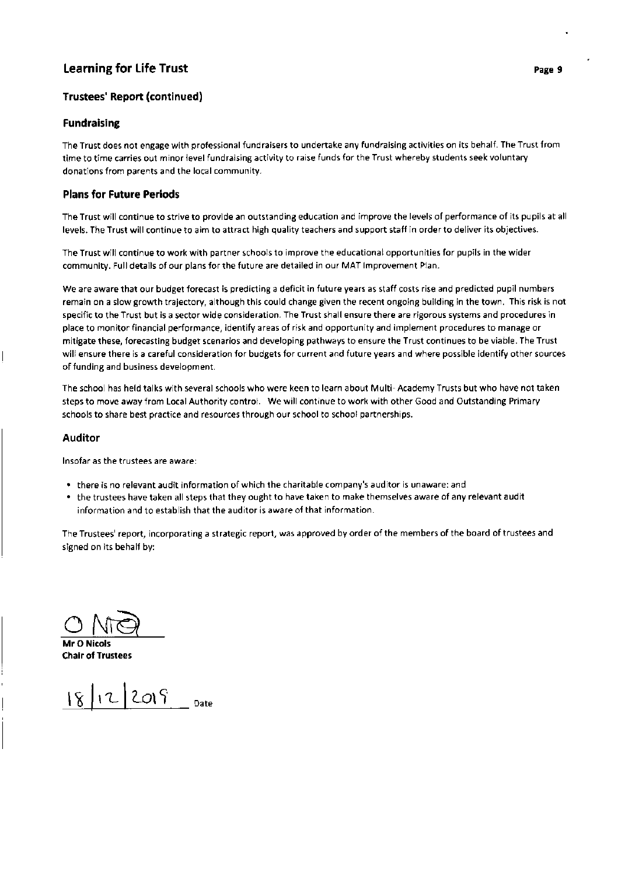# Trustees' Report (continued )

## Fundraising

The Trust does not engage with professional fundraisers to undertake any fundraising activities on its behalf. The Trust from time to time carries out minor level fundraising activity to raise funds for the Trust whereby students seek voluntary donations from parents and the local community.

## Plans for Future Periods

The Trust will continue to strive to provide an outstanding education and improve the levels of performance of its pupils at all levels. The Trust will continue to aim to attract high quality teachers and support staff in order to deliver its objectives.

The Trust will continue to work with partner schools to improve the educational opportunities for pupils in the wider community. Full details of our plans for the future are detailed in our MAT lmprovement Plan.

We are aware that our budget forecast is predicting a deficit in future years as staff costs rise and predicted pupil numbers remain on a slow growth trajectory, although this could change given the recent ongoing building in the town. This risk is not specific to the Trust but is a sector wide consideration. The Trust shall ensure there are rigorous systems and procedures in place to monitor financial performance, identify areas of risk and opportunity and implement procedures to manage or mitigate these, forecasting budget scenarios and developing pathways to ensure the Trust continues to be viable. The Trust will ensure there is a careful consideration for budgets for current and future years and where possible identify other sources of funding and business development.

The school has held talks with several schools who were keen to learn about Multi- Academy Trusts but who have not taken steps to move away from Local Authority control. We will continue to work with other Good and Outstanding Primary schools to share best practice and resources through our school to school partnerships.

## Auditor

lnsofar as the trustees are aware:

- o there is no relevant audit information of which the charitable company's auditor is unaware: and
- . the trustees have taken all steps that they ought to have taken to make themselves aware of any relevant audit information and to establish that the auditor is aware of that information.

The Trustees' report, incorporating a strategic report, was approved by order of the members of the board of trustees and signed on its behalf by:

 $\overline{\mathcal{O}}$ 

Mr O Nicols Chair of Trustees

 $18 |12 |2019$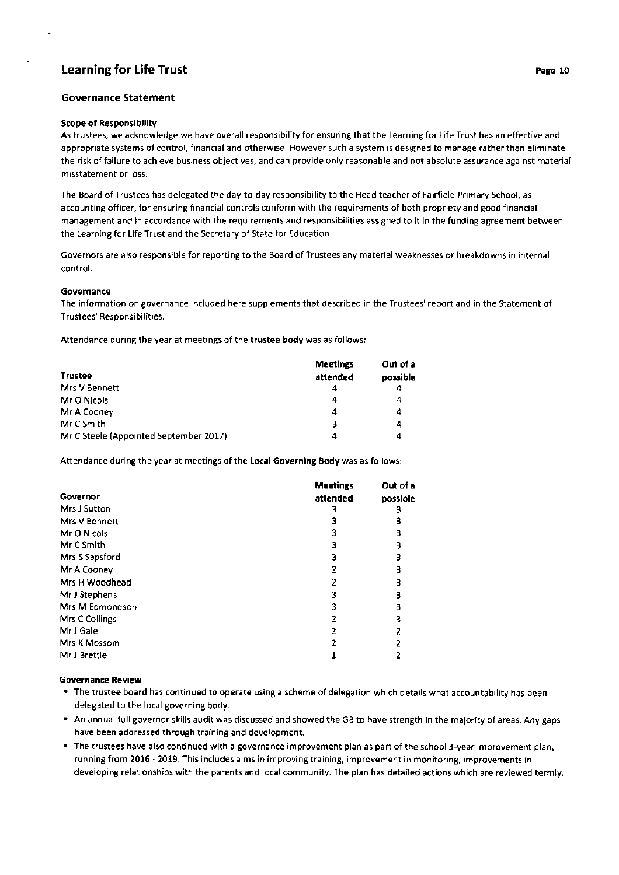## Governance Statement

#### Scope of Responsibility

As trustees, we acknowledge we have overall responsibility for ensuring that the Learning for Life Trust has an effective and appropriate systems of control, financial and otherwise. However such a system is designed to manage rather than eliminate the risk of failure to achieve business objectives, and can provide only reasonable and not absolute assurance against material misstatement or loss.

The Board of Trustees has delegated the day-to-day responsibility to the Head teacher of Fairfield Primary School, as accounting officer, for ensuring financial controls conform with the requirements of both propriety and good financial management and in accordance with the requirements and responsibilities assigned to it in the funding agreement between the Learning for Life Trust and the Secretary of State for Education.

Governors are also responsible for reporting to the Board of Trustees any material weaknesses or breakdowns in internal control.

#### Governance

The information on governance included here supplements that described in the Trustees' report and in the Statement of Trustees' Responsibilities.

Attendance during the year at meetings of the trustee body was as follows:

|                                        | <b>Meetings</b> | Out of a |
|----------------------------------------|-----------------|----------|
| <b>Trustee</b>                         | attended        | possible |
| Mrs V Bennett                          | 4               | 4        |
| Mr O Nicols                            | 4               | 4        |
| Mr A Cooney                            | 4               | 4        |
| Mr C Smith                             | 3               | 4        |
| Mr C Steele (Appointed September 2017) | 4               | 4        |

Attendance during the year at meetings of the Local Governing Body was as follows:

|                 | <b>Meetings</b> | Out of a |
|-----------------|-----------------|----------|
| Governor        | attended        | possible |
| Mrs J Sutton    |                 |          |
| Mrs V Bennett   | 3               | 3        |
| Mr O Nicols     | 3               | 3        |
| Mr C Smith      | 3               | з        |
| Mrs S Sapsford  | 3               | 3        |
| Mr A Cooney     |                 | 3        |
| Mrs H Woodhead  |                 | 3        |
| Mr J Stephens   |                 | 3        |
| Mrs M Edmondson |                 | 3        |
| Mrs C Collings  |                 | 3        |
| Mr J Gale       |                 |          |
| Mrs K Mossom    |                 |          |
| Mr J Brettle    |                 |          |

#### Governance Review

- The trustee board has continued to operate using a scheme of delegation which details what accountability has been delegated to the local governing body.
- o An annual full governor skills audit was discussed and showed the GB to have strength in the majority of areas. Any gaps have been addressed through training and development.
- . The trustees have also continued with a governance improvement plan as part of the school 3-year improvement plan, running from 2016 - 2019. This includes aims in improving training, improvement in monitoring, improvements in developing relationships with the parents and local community. The plan has detailed actions which are reviewed termly.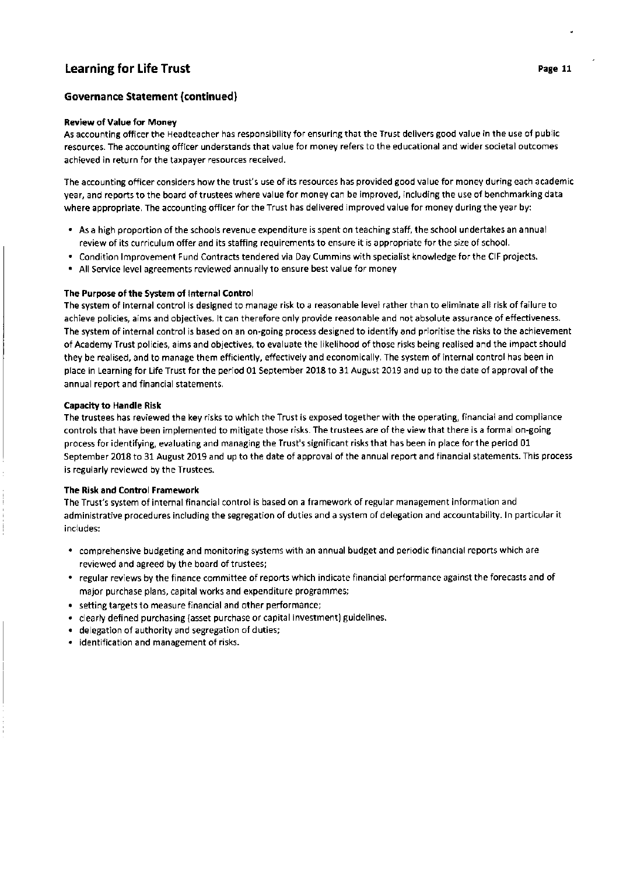# Governance Statement (continued)

### Review of Value for Money

As accounting officer the Headteacher has responsibility for ensuring that the Trust delivers good value in the use of public resources. The accounting officer understands that value for money refers to the educational and wider societal outcomes achieved in return for the taxpayer resources received.

The accounting officer considers how the trust's use of its resources has provided good value for money during each academic year, and reports to the board of trustees where value for money can be improved, including the use of benchmarking data where appropriate. The accounting officer for the Trust has delivered improved value for money during the year by:

- . As a high proportion of the schools revenue expenditure is spent on teaching staff, the school undertakes an annual review of its curriculum offer and its staffing requirements to ensure it is appropriate for the size of school.
- . Condition lmprovement Fund Contracts tendered via Day Cummins with specialist knowledge for the CIF projects.
- . All Service level agreements reviewed annually to ensure best value for money

### The Purpose of the System of lnternal Control

The system of internal control is designed to manage risk to a reasonable level rather than to eliminate all risk of failure to achieve policies, aims and objectives. lt can therefore only provide reasonable and not absolute assurance of effectiveness. The system of internal control is based on an on-going process designed to identify and prioritise the risks to the achievement of Academy Trust policies, aims and objectives, to evaluate the likelihood of those risks being realised and the impact should they be realised, and to manage them efficiently, effectively and economically. The system of internal control has been in place in Learning for Life Trust for the period 01 September 2018 to 31 August 2019 and up to the date of approval of the annual report and financial statements.

### Capacity to Handle Risk

The trustees has reviewed the key risks to which the Trust is exposed together with the operating, financial and compliance controls that have been implemented to mitigate those risks. The trustees are of the view that there is a formal on-going process for identifying, evaluating and managing the Trust's significant risks that has been in place for the period 01 September 2018 to 31 August 2019 and up to the date of approval of the annual report and financial statements. This process is regularly reviewed by the Trustees.

## The Risk and Control Framework

The Trust's system of internal financial control is based on a framework of regular management information and administrative procedures including the segregation of duties and a system of delegation and accountability. ln particular it includes:

- comprehensive budgeting and monitoring systems with an annual budget and periodic financial reports which are reviewed and agreed by the board of trustees;
- regular reviews by the finance committee of reports which indicate financial performance against the forecasts and of major purchase plans, capital works and expenditure programmes;
- $\bullet\;$  setting targets to measure financial and other performance
- clearly defined purchasing (asset purchase or capital investment) guidelines. a
- delegation of authority and segregation of duties; a
- $\bullet$   $\,$  identification and management of risks.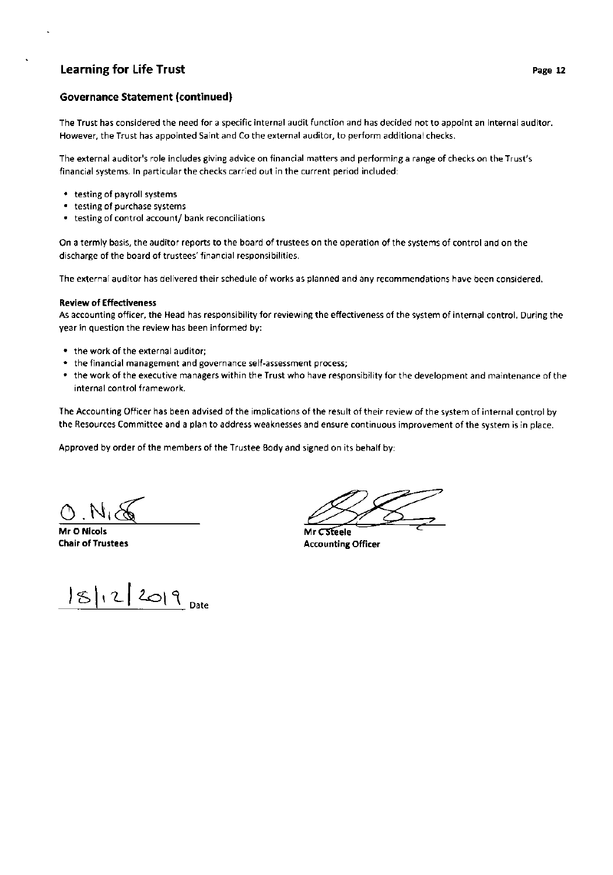## Governance Statement (continued)

The Trust has considered the need for a specific internal audit function and has decided not to appoint an internal auditor. However, the Trust has appointed Saint and Co the external auditor, to perform additional checks.

The external auditor's role includes giving advice on financial matters and performing a range of checks on the Trust's financial systems. ln particular the checks carried out in the current period included:

- . testing of payroll systems
- . testing of purchase systems
- $\bullet$  testing of control account/ bank reconciliations

On a termly basis, the auditor reports to the board of trustees on the operation of the systems of control and on the discharge of the board of trustees' financial responsibilities.

The external auditor has delivered their schedule of works as planned and any recommendations have been considered.

#### Review of Effectiveness

As accounting officer, the Head has responsibility for reviewing the effectiveness of the system of internal control. During the year in question the review has been informed by:

- . the work of the external auditor;
- . the financial management and governance self-assessment process;
- . the work of the executive managers within the Trust who have responsibility for the development and maintenance of the internal control framework.

The Accounting Officer has been advised of the implications of the result of their review of the system of internal control by the Resources Committee and a plan to address weaknesses and ensure continuous improvement of the system is in place.

Approved by order of the members of the Trustee Body and signed on its behalf by:

Mr O Nicols Chalr of Trustees

 $|S|12|2019$  Date

Mr CSteele Accounting Officer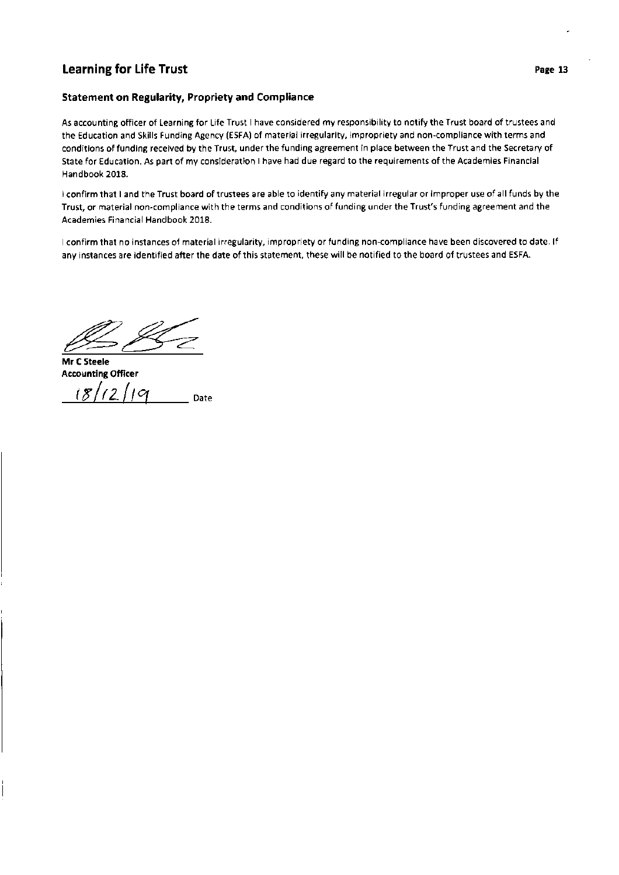# Statement on Regularity, Propriety and Compliance

As accounting officer of Learning for Life Trust I have considered my responsibility to notify the Trust board of trustees and the Education and Skills Funding Agency (ESFA) of material irregularity, impropriety and non-compliance with terms and conditions of funding received by the Trust, under the funding agreement in place between the Trust and the Secretary of State for Education. As part of my consideration I have had due regard to the requirements of the Academies Financial Handbook 2018.

<sup>I</sup>confirm that I and the Trust board of trustees are able to identify any material irregular or improper use of all funds by the Trust, or material non-compliance with the terms and conditions of funding under the Trust's funding agreement and the Academies Financial Handbook 2018.

<sup>I</sup>confirm that no instances of material irregularity, impropriety or funding non-compliance have been discovered to date. lf any instances are identified after the date of this statement, these will be notified to the board of trustees and ESFA.

 $\mathscr{L}$ 

Mr C Steele Accounting Officer<br> $i\frac{g}{2}\left|1\right\rangle$  /  $\left|2\right\rangle$  /  $\left|2\right\rangle$  pate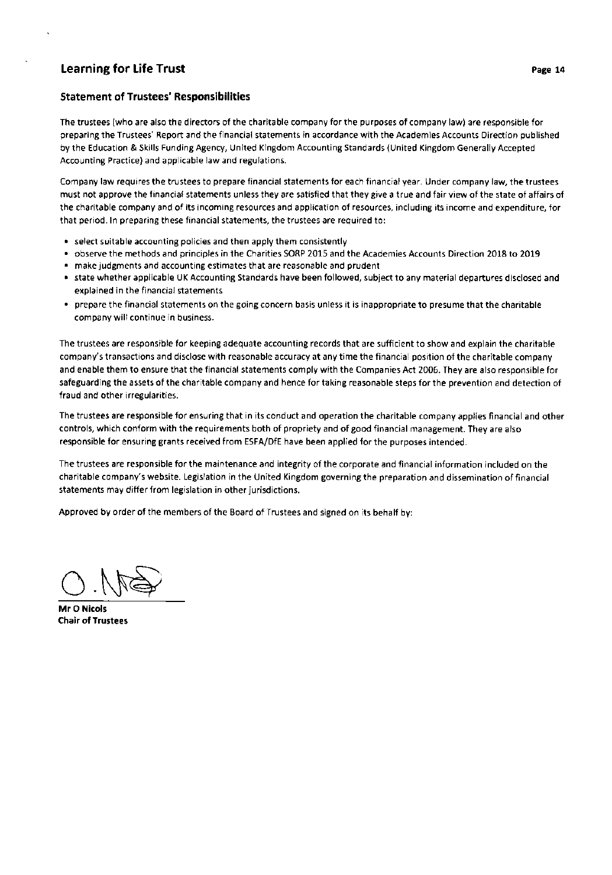#### Statement of Trustees' Responsibilities

The trustees (who are also the directors of the charitable company for the purposes of company law) are responsible for preparing the Trustees' Report and the financial statements in accordance with the Academies Accounts Direction published by the Education & Skills Funding Agency, United Kingdom Accounting Standards (United Kingdom Generally Accepted Accounting Practice) and applicable law and regulations.

Company law requires the trustees to prepare financial statements for each financial year. Under company law, the trustees must not approve the financial statements unless they are satisfied that they give a true and fair view of the state of affairs of the charitable company and of its incoming resources and application of resources, including its income and expenditure, for that period. ln preparing these financial statements, the trustees are required to:

- . select suitable accounting policies and then apply them consistently
- . observe the methods and principles in the Charities SORP 2015 and the Academies Accounts Direction 2018 to <sup>2019</sup>
- . make judgments and accounting estimates that are reasonable and prudent
- state whether applicable UK Accounting Standards have been followed, subject to any material departures disclosed and explained in the financial statements
- . prepare the financial statements on the going concern basis unless it is inappropriate to presume that the charitable company will continue in business.

The trustees are responsible for keeping adequate accounting records that are sufficient to show and explain the charitable company's transactions and disclose with reasonable accuracy at any time the financial position of the charitable company and enable them to ensure that the financial statements comply with the Companies Act 2006. They are also responsible for safeguarding the assets of the charitable company and hence for taking reasonable steps for the prevention and detection of fraud and other irregularities.

The trustees are responsible for ensuring that in its conduct and operation the charitable company applies financial and other controls, which conform with the requirements both of propriety and of good financial management. They are also responsible for ensuring grants received from ESFA/DfE have been applied for the purposes intended.

The trustees are responsible for the maintenance and integrity of the corporate and financial information included on the charitable company's website. Legislation in the United Kingdom governing the preparation and dissemination of financial statements may differ from legislation in other jurisdictions.

Approved by order of the members of the Board of Trustees and signed on its behalf by:

 $OM. O$ 

Mr O Nicols Chair of Trustees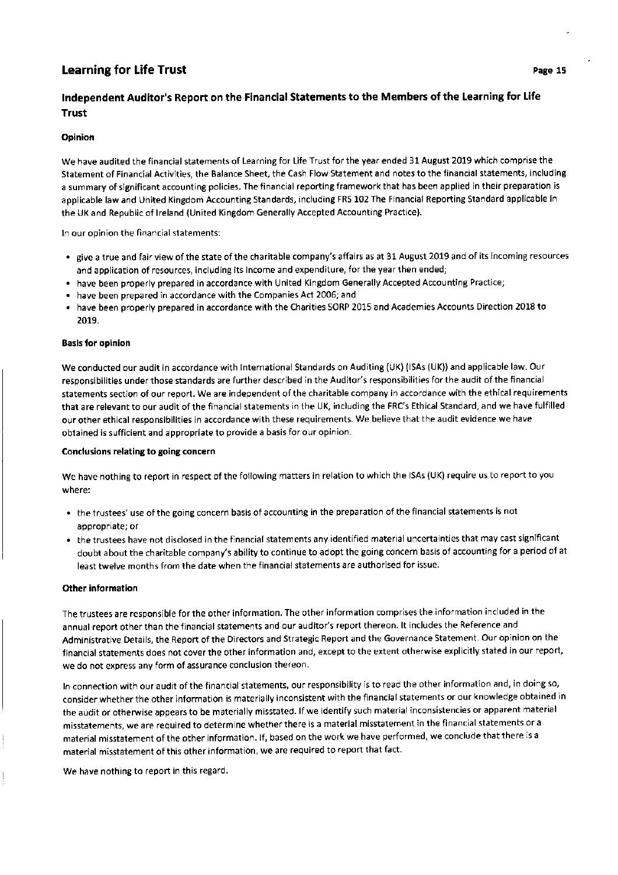# !ndependent Auditor's Report on the Financial Statements to the Members of the Learning for Life Trust

## Opinion

We have audited the financial statements of Learning for Life Trust for the year ended 31 August 2019 which comprise the Statement of Financial Activities, the Balance Sheet, the Cash Flow Statement and notes to the financial statements, including a summary of significant accounting policies. The financial reporting framework that has been applied in their preparation is applicable law and United Kingdom Accounting Standards, including FRS 102 The Financial Reporting Standard applicable in the UK and Republic of lreland (United Kingdom Generally Accepted Accounting Practice).

ln our opinion the financial statements:

- give a true and fair view of the state of the charitable company's affairs as at 31 August 2019 and of its incoming resources and application of resources, including its income and expenditure, for the year then ended;
- nave been properly prepared in accordance with United Kingdom Generally Accepted Accounting Practice •
- a have been prepared in accordance with the Companies Act 2006; and
- a have been properly prepared in accordance with the Charities SORP 2015 and Academies Accounts Direction 2018 to 2019.

#### Basls for oplnlon

We conducted our audit in accordance with International Standards on Auditing (UK) (ISAs (UK)) and applicable law. Our responsibilities under those standards are further described in the Auditor's responsibilities for the audit of the financial statements section of our report. We are independent of the charitable company in accordance with the ethical requirements that are relevant to our audit of the financial statements in the UK, including the FRC's Ethical Standard, and we have fulfilled our other ethical responsibilities in accordance with these requirements. We believe that the audit evidence we have obtained is sufficient and appropriate to provide a basis for our opinion.

#### Conclusions relating to going concern

We have nothing to report in respect of the following matters in relation to which the lSAs (UK) require us to report to you where:

- the trustees' use of the going concern basis of accounting in the preparation of the financial statements is not appropriate; or
- the trustees have not disclosed in the financial statements any identified material uncertainties that may cast significant doubt about the charitable company's ability to continue to adopt the going concern basis of accounting for a period of at least twelve months from the date when the financial statements are authorised for issue.

#### Other information

The trustees are responsible for the other information. The other information comprises the information included in the annual report other than the financial statements and our auditor's report thereon. It includes the Reference and Administrative Details, the Report of the Directors and Strategic Report and the Governance Statement. Our opinion on the financial statements does not cover the other information and, except to the extent otherwise explicitly stated in our report, we do not express any form of assurance conclusion thereon.

ln connection with our audit of the financial statements, our responsibility is to read the other information and, in doing so, consider whether the other information is materially inconsistent with the financial statements or our knowledge obtained in the audit or otherwise appears to be materially misstated. lf we identify such material inconsistencies or apparent material misstatements, we are required to determine whether there is a material misstatement in the financial statements or <sup>a</sup> material misstatement of the other information. lf, based on the work we have performed, we conclude that there is <sup>a</sup> material misstatement of this other information, we are required to report that fact.

We have nothing to report in this regard.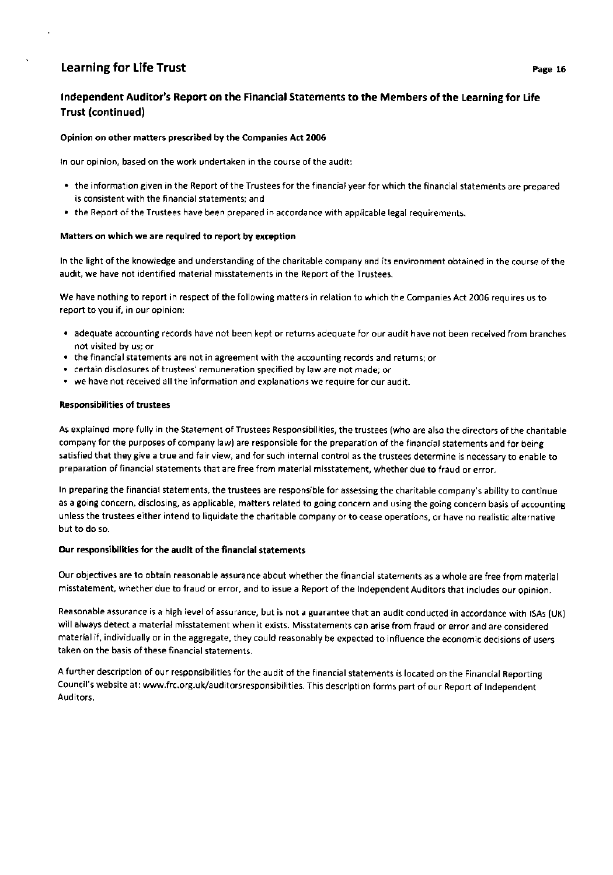# lndependent Auditor's Report on the Financial Statements to the Members of the Learning for Life Trust (continued)

## Opinion on other matters prescribed by the Companies Act 2005

ln our opinion, based on the work undertaken in the course of the audit:

- . the information given in the Report of the Trustees for the financial year for which the financial statements are prepared is consistent with the financial statements; and
- . the Report of the Trustees have been prepared in accordance with applicable legal requirements.

#### Matters on which we are required to report by exception

ln the light of the knowledge and understanding of the charitable company and its environment obtained in the course of the audit, we have not identified material misstatements in the Report of the Trustees.

We have nothing to report in respect of the following matters in relation to which the Companies Act 2005 requires us to report to you if, in our opinion:

- . adequate accounting records have not been kept or returns adequate for our audit have not been received from branches not visited by us; or
- . the financial statements are not in agreement with the accounting records and returns; or
- . certain disclosures of trustees' remuneration specified by law are not made; or
- . we have not received all the information and explanations we require for our audit.

## Responsibilities of trustees

As explained more fully in the Statement of Trustees Responsibilities, the trustees (who are also the directors of the charitable company for the purposes of company law) are responsible for the preparation of the financial statements and for being satisfied that they give a true and fair view, and for such internal control as the trustees determine is necessary to enable to preparation of financial statements that are free from material misstatement, whether due to fraud or error.

ln preparing the financial statements, the trustees are responsible for assessing the charitable company's ability to continue as a going concern, disclosing, as applicable, matters related to going concern and using the going concern basis of accounting unless the trustees either intend to liquidate the charitable company or to cease operations, or have no realistic alternative but to do so.

#### Our responsibilities for the audit of the financial statements

Our objectives are to obtain reasonable assurance about whether the financial statements as a whole are free from material misstatement, whether due to fraud or error, and to issue a Report of the lndependent Auditors that includes our opinion.

Reasonable assurance is a high level of assurance, but is not a guarantee that an audit conducted in accordance with lSAs (UK) will always detect a material misstatement when it exists. Misstatements can arise from fraud or error and are considered material if, individually or in the aggregate, they could reasonably be expected to influence the economic decisions of users taken on the basis of these financial statements.

<sup>A</sup>further description of our responsibilities for the audit of the financial statements is located on the Financial Reporting Council's website at: www.frc.org.uk/auditorsresponsibilities. This description forms part of our Report of lndependent Auditors.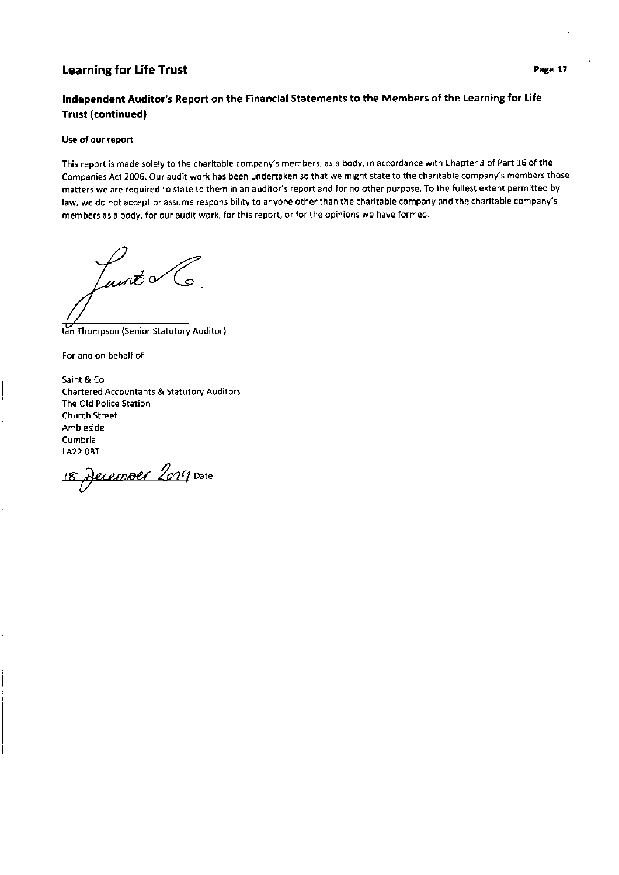# Independent Auditor's Report on the Financial Statements to the Members of the Learning for Life Trust (continued)

#### Use of our report

This report is made solely to the charitable company's members, as a body, in accordance with Chapter 3 of Part 16 of the Companies Act 2006. Our audit work has been undertaken so that we might state to the charitable company's members those matters we are required to state to them in an auditor's report and for no other purpose. To the fullest extent permitted by law, we do not accept or assume responsibility to anyone other than the charitable company and the charitable company's members as a body, for our audit work, for this report, or for the opinions we have formed.

 $\mu$ unt $\sqrt{6}$ 

Thompson (Senior Statutory Auditor)

For and on behalf of

Saint & Co Chartered Accountants & Statutory Auditors The Old Police Station Church Street Ambleside Cumbria LA22 OBT

18 December 2019 Date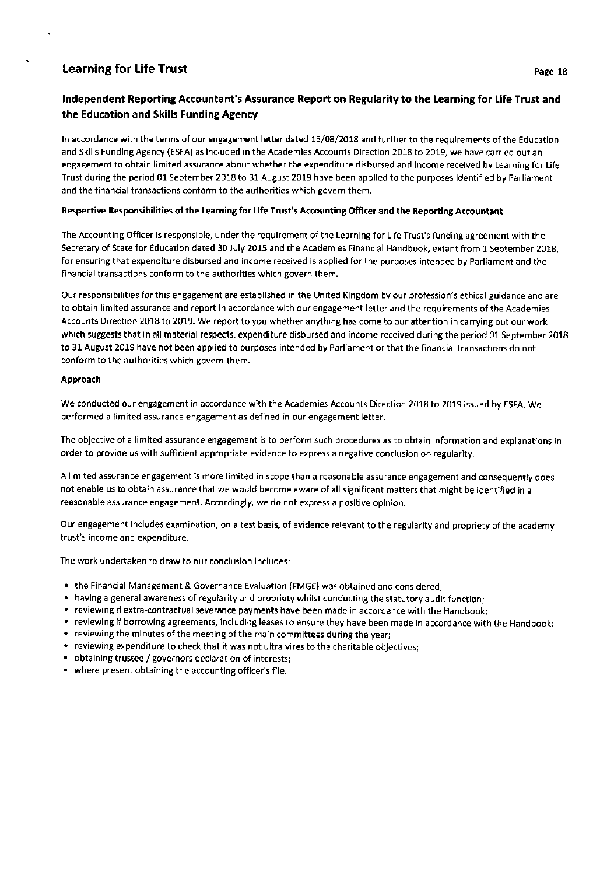# Independent Reporting Accountant's Assurance Report on Regularity to the Learning for Life Trust and the Education and Skills Funding Agency

ln accordance with the terms of our engagement letter dated 15/08/2018 and further to the requirements of the Education and Skills Funding Agency (ESFA) as included in the Academies Accounts Direction 2018 to 2019, we have carried out an engagement to obtain limited assurance about whether the expenditure disbursed and income received by Learning for Life Trust during the period 01 September 2018 to 31 August 2019 have been applied to the purposes identified by Parliament and the financial transactions conform to the authorities which govern them.

## Respective Responsibilities of the learning for Life Trust's Accounting Officer and the Reporting Accountant

The Accounting Officer is responsible, under the requirement of the Learning for Life Trust's funding agreement with the Secretary of State for Education dated 30 July 2015 and the Academies Financial Handbook, extant from 1 September 2018, for ensuring that expenditure disbursed and income received is applied for the purposes intended by Parliament and the financial transactions conform to the authorities which govern them.

Our responsibilities for this engagement are established in the United Kingdom by our profession's ethical guidance and are to obtain limited assurance and report in accordance with our engagement letter and the requirements of the Academies Accounts Direction 2018 to 2019. We report to you whether anything has come to our attention in carrying out our work which suggests that in all material respects, expenditure disbursed and income received during the period 01 September 2018 to 31 August 2019 have not been applied to purposes intended by Parliament or that the financial transactions do not conform to the authorities which govern them.

## Approach

We conducted our engagement in accordance with the Academies Accounts Direction 2018 to 2019 issued by ESFA. We performed a limited assurance engagement as defined in our engagement letter.

The objective of a limited assurance engagement is to perform such procedures as to obtain information and explanations in order to provide us with sufficient appropriate evidence to express a negative conclusion on regularity.

A limited assurance engagement is more limited in scope than a reasonable assurance engagement and consequently does not enable us to obtain assurance that we would become aware of all significant matters that might be identified in <sup>a</sup> reasonable assurance engagement. Accordingly, we do not express a positive opinion.

Our engagement includes examination, on a test basis, of evidence relevant to the regularity and propriety of the academy trust's income and expenditure.

The work undertaken to draw to our conclusion includes:

- . the Financial Management & Governance Evaluation (FMGE) was obtained and considered;
- . having a general awareness of regularity and propriety whilst conducting the statutory audit function;
- . reviewing if extra-contractual severance payments have been made in accordance with the Handbook;
- . reviewing if borrowing agreements, including leases to ensure they have been made in accordance with the Handbook;
- . reviewing the minutes of the meeting of the main committees during the year;
- . reviewing expenditure to check that it was not ultra vires to the charitable objectives;
- . obtaining trustee / governors declaration of interests;
- . where present obtaining the accounting officer's file.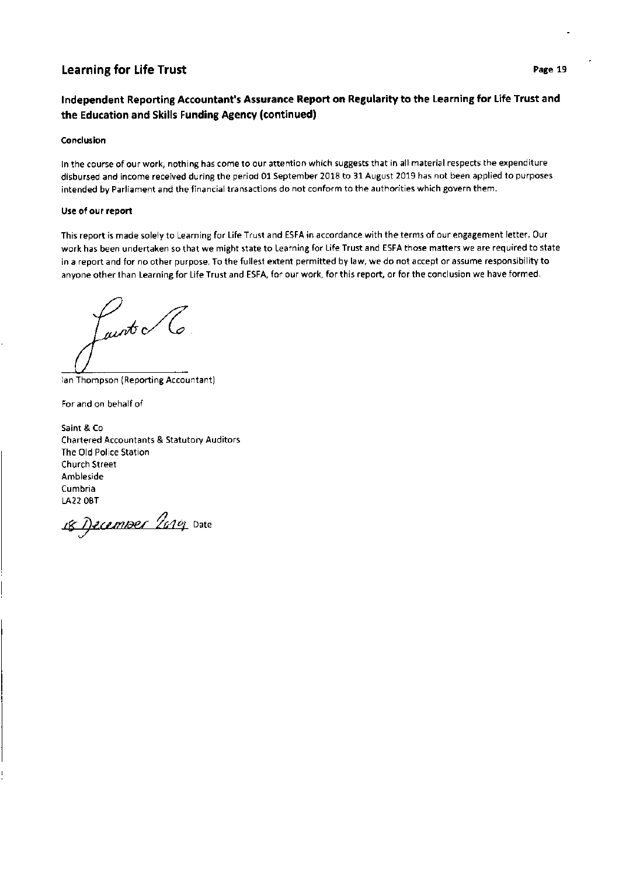# lndependent Reporting Accountant's Assurance Report on Regularity to the Learning for Life Trust and the Education and Skills Funding Agency (continued)

#### Conclusion

ln the course of our work, nothing has come to our attention which suggests that in all material respects the expenditure disbursed and income received during the period 01 September 2018 to 31 August 2019 has not been applied to purposes intended by Parliament and the financial transactions do not conform to the authorities which govern them.

#### Use of our report

This report is made solely to Learning for Life Trust and ESFA in accordance with the terms of our engagement letter. Our work has been undertaken so that we might state to Learning for Life Trust and ESFA those matters we are required to state in a report and for no other purpose. To the fullest extent permitted by law, we do not accept or assume responsibility to anyone other than Learning for Life Trust and ESFA, for our work, for this report, or for the conclusion we have formed.

unt o lo

lan Thompson (Reporting Accountant)

For and on behalf of

Saint & Co Chartered Accountants & Statutory Auditors The Old Police Station Church Street Ambleside Cumbria LA22 OBT

18 December 2019 Date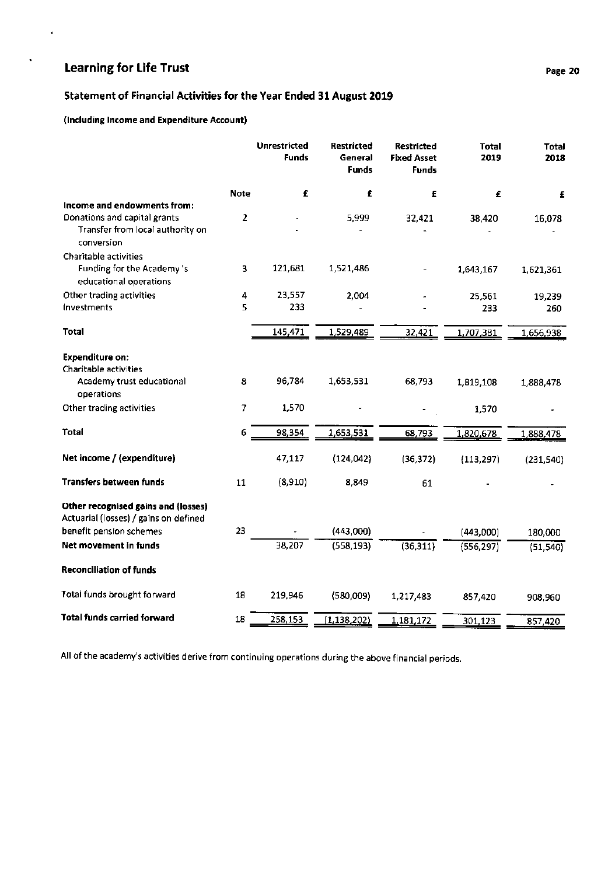÷,

 $\ddot{\phantom{0}}$ 

# Statement of Financial Activities for the Year Ended 31 August 2019

# (lncluding lncome and Expenditure Account)

|                      | <b>Unrestricted</b><br><b>Funds</b> | <b>Restricted</b><br>General<br><b>Funds</b> | <b>Restricted</b><br><b>Fixed Asset</b><br><b>Funds</b> | <b>Total</b><br>2019 | <b>Total</b><br>2018           |
|----------------------|-------------------------------------|----------------------------------------------|---------------------------------------------------------|----------------------|--------------------------------|
| <b>Note</b>          | £                                   | £                                            | £                                                       | £                    | £                              |
|                      |                                     |                                              |                                                         |                      |                                |
|                      |                                     |                                              |                                                         |                      | 16,078                         |
|                      |                                     |                                              |                                                         |                      |                                |
| 3                    | 121,681                             | 1,521,486                                    |                                                         | 1,643,167            | 1,621,361                      |
| $\ddot{\phantom{0}}$ | 23,557                              | 2,004                                        |                                                         | 25,561               | 19,239                         |
| 5                    | 233                                 |                                              |                                                         | 233                  | 260                            |
|                      | 145,471                             | 1,529,489                                    | 32,421                                                  | 1,707,381            | 1,656,938                      |
|                      |                                     |                                              |                                                         |                      |                                |
|                      |                                     |                                              |                                                         |                      |                                |
| 8                    | 96,784                              | 1,653,531                                    | 68,793                                                  | 1,819,108            | 1,888,478                      |
| 7                    | 1,570                               |                                              |                                                         | 1,570                |                                |
| 6                    | 98,354                              | 1,653,531                                    | 68,793                                                  | 1,820,678            | 1,888,478                      |
|                      | 47,117                              | (124, 042)                                   | (36, 372)                                               | (113, 297)           | (231, 540)                     |
| 11                   | (8,910)                             | 8,849                                        | 61                                                      |                      |                                |
|                      |                                     |                                              |                                                         |                      |                                |
| 23                   |                                     | (443,000)                                    |                                                         |                      | 180,000                        |
|                      | 38,207                              | (558, 193)                                   | (36, 311)                                               | (556, 297)           | (51, 540)                      |
|                      |                                     |                                              |                                                         |                      |                                |
| 18                   | 219,946                             | (580,009)                                    | 1,217,483                                               | 857,420              | 908,960                        |
| 18                   |                                     |                                              |                                                         |                      | 857,420                        |
|                      | 2                                   | 258,153                                      | 5,999<br>(1, 138, 202)                                  | 32,421<br>1,181,172  | 38,420<br>(443,000)<br>301,123 |

All of the academy's activities derive from continuing operations during the above financial periods.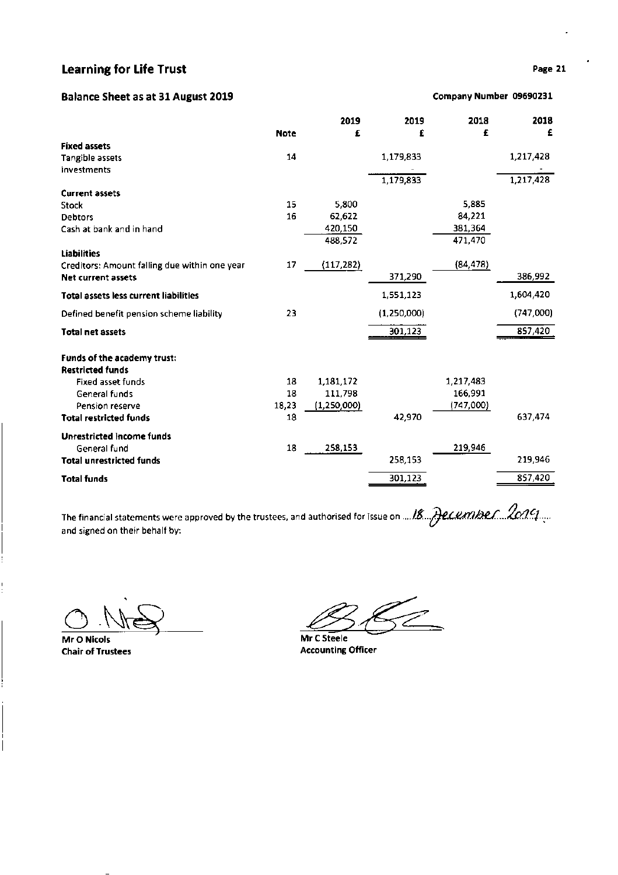# Balance Sheet as at 31 August 2019

| <b>Fixed assets</b>                           |       |               |             |           |           |
|-----------------------------------------------|-------|---------------|-------------|-----------|-----------|
| Tangible assets                               | 14    |               | 1,179,833   |           | 1,217,428 |
| investments                                   |       |               |             |           |           |
|                                               |       |               | 1,179,833   |           | 1,217,428 |
| <b>Current assets</b>                         |       |               |             |           |           |
| Stock                                         | 15    | 5,800         |             | 5,885     |           |
| <b>Debtors</b>                                | 16    | 62,622        |             | 84,221    |           |
| Cash at bank and in hand                      |       | 420,150       |             | 381,364   |           |
|                                               |       | 488,572       |             | 471,470   |           |
| <b>Liabilities</b>                            |       |               |             |           |           |
| Creditors: Amount falling due within one year | 17    | (117, 282)    |             | (84, 478) |           |
| <b>Net current assets</b>                     |       |               | 371,290     |           | 386,992   |
| <b>Total assets less current liabilities</b>  |       |               | 1,551,123   |           | 1,604,420 |
| Defined benefit pension scheme liability      | 23    |               | (1,250,000) |           | (747,000) |
| <b>Total net assets</b>                       |       |               | 301,123     |           | 857,420   |
| Funds of the academy trust:                   |       |               |             |           |           |
| <b>Restricted funds</b>                       |       |               |             |           |           |
| <b>Fixed asset funds</b>                      | 18    | 1,181,172     |             | 1,217,483 |           |
| General funds                                 | 18    | 111,798       |             | 166,991   |           |
| Pension reserve                               | 18,23 | (1, 250, 000) |             | (747,000) |           |
| <b>Total restricted funds</b>                 | 18    |               | 42,970      |           | 637,474   |
| <b>Unrestricted Income funds</b>              |       |               |             |           |           |
| General fund                                  | 18    | 258,153       |             | 219,946   |           |
| <b>Total unrestricted funds</b>               |       |               | 258,153     |           | 219,946   |
|                                               |       |               |             |           |           |

Note

Total funds

The financial statements were approved by the trustees, and authorised for issue on  $...$  18... ALCLMIBLL.  $\#$ CAU. The titrancial statements were approved by the trustees, and admonsed for issue on ...........................<br>and signed on their behalf by:

 $O$  No

Mr O Nicols

\_101,123\_

Mr C Steele Chair of Trustees **Accounting Officer** Accounting Officer

# Page 21

2018 €

857,420

Company Number 09590231

2018 f

2019 f

2019 f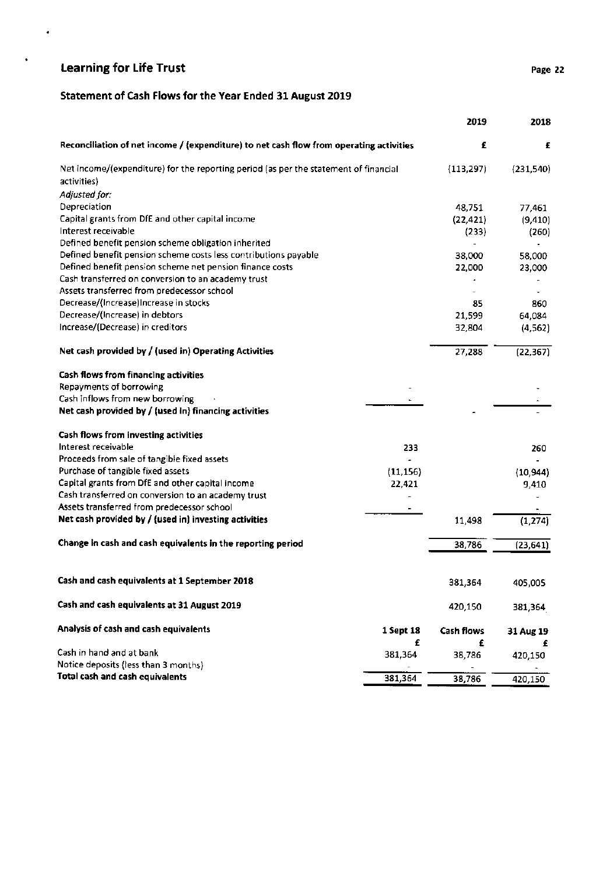$\bullet$ 

 $\bullet$ 

# Statement of Cash Flows for the Year Ended 31 August 2019

|                                                                                         |           | 2019              | 2018      |
|-----------------------------------------------------------------------------------------|-----------|-------------------|-----------|
| Reconciliation of net income / (expenditure) to net cash flow from operating activities |           | £                 | £         |
| Net income/(expenditure) for the reporting period (as per the statement of financial    |           | (113, 297)        | (231,540) |
| activities)                                                                             |           |                   |           |
| Adjusted for:                                                                           |           |                   |           |
| Depreciation                                                                            |           | 48,751            | 77,461    |
| Capital grants from DfE and other capital income                                        |           | (22, 421)         | (9, 410)  |
| Interest receivable                                                                     |           | (233)             | (260)     |
| Defined benefit pension scheme obligation inherited                                     |           | ÷                 |           |
| Defined benefit pension scheme costs less contributions payable                         |           | 38,000            | 58,000    |
| Defined benefit pension scheme net pension finance costs                                |           | 22,000            | 23,000    |
| Cash transferred on conversion to an academy trust                                      |           |                   |           |
| Assets transferred from predecessor school                                              |           |                   |           |
| Decrease/(Increase)Increase in stocks                                                   |           | 85                | 860       |
| Decrease/(Increase) in debtors                                                          |           | 21,599            | 64,084    |
| Increase/(Decrease) in creditors                                                        |           | 32,804            | (4, 562)  |
| Net cash provided by / (used in) Operating Activities                                   |           | 27,288            | (22, 367) |
| Cash flows from financing activities                                                    |           |                   |           |
| Repayments of borrowing                                                                 |           |                   |           |
| Cash inflows from new borrowing                                                         |           |                   |           |
| Net cash provided by / (used in) financing activities                                   |           |                   |           |
| Cash flows from investing activities                                                    |           |                   |           |
| Interest receivable                                                                     | 233       |                   | 260       |
| Proceeds from sale of tangible fixed assets                                             |           |                   |           |
| Purchase of tangible fixed assets                                                       | (11, 156) |                   | (10, 944) |
| Capital grants from DfE and other capital income                                        | 22,421    |                   | 9,410     |
| Cash transferred on conversion to an academy trust                                      |           |                   |           |
| Assets transferred from predecessor school                                              |           |                   |           |
| Net cash provided by / (used in) investing activities                                   |           | 11,498            | (1, 274)  |
| Change in cash and cash equivalents in the reporting period                             |           | 38,786            | (23, 641) |
|                                                                                         |           |                   |           |
| Cash and cash equivalents at 1 September 2018                                           |           | 381,364           | 405,005   |
| Cash and cash equivalents at 31 August 2019                                             |           | 420,150           | 381,364   |
| Analysis of cash and cash equivalents                                                   | 1 Sept 18 | <b>Cash flows</b> | 31 Aug 19 |
|                                                                                         | £         | £                 | £         |
| Cash in hand and at bank                                                                | 381,364   | 38,786            | 420,150   |
| Notice deposits (less than 3 months)                                                    |           |                   |           |
| <b>Total cash and cash equivalents</b>                                                  | 381,364   | 38,786            | 420,150   |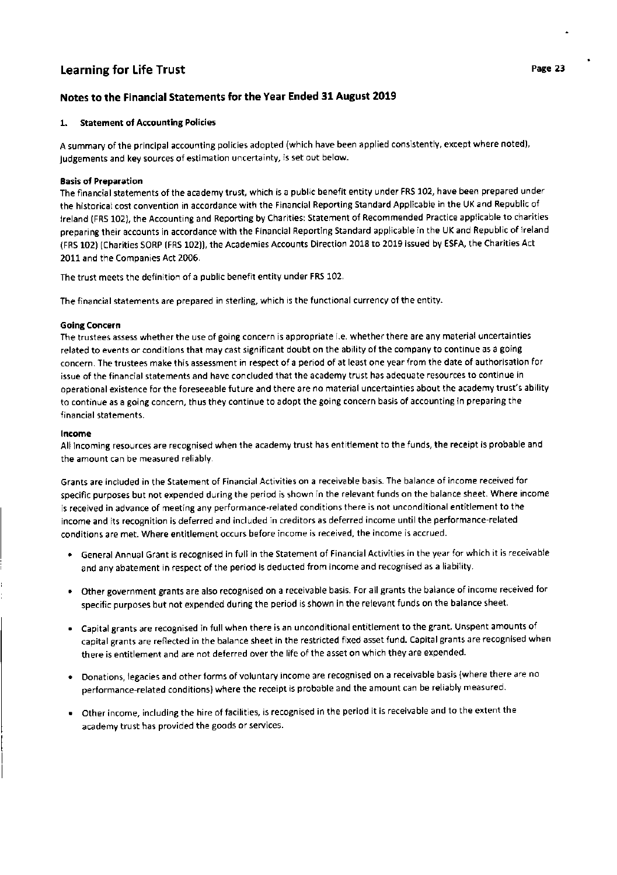# Notes to the Financial Statements for the Year Ended 31 August 2019

## 1. Statement of Accounting Policies

A summary of the principal accounting policies adopted (which have been applied consistently, except where noted), judgements and key sources of estimation uncertainty, is set out below.

## Basis of Preparation

The financial statements of the academy trust, which is a public benefit entity under FRS 102, have been prepared under the historical cost convention in accordance with the Financial Reporting Standard Applicable in the UK and Republic of lreland (FRS 102), the Accounting and Reporting by Charities: Statement of Recommended Practice applicable to charities preparing their accounts in accordance with the Financial Reporting Standard applicable in the UK and Republic of lreland (FRS 102) (Charities SORP (FRS 102)), the Academies Accounts Direction 2018 to 2019 issued by ESFA, the Charities Act 2011 and the Companies Act 2006.

The trust meets the definition of a public benefit entity under FRS 102.

The financial statements are prepared in sterling, which is the functional currency of the entity.

## Going Concern

The trustees assess whether the use of going concern is appropriate i.e. whether there are any material uncertainties related to events or conditions that may cast significant doubt on the ability of the company to continue as a going concern. The trustees make this assessment in respect of a period of at least one year from the date of authorisation for issue of the financial statements and have concluded that the academy trust has adequate resources to continue in operational existence for the foreseeable future and there are no material uncertainties about the academy trust's ability to continue as a going concern, thus they continue to adopt the going concern basis of accounting in preparing the financial statements.

#### !ncome

All incoming resources are recognised when the academy trust has entitlement to the funds, the receipt is probable and the amount can be measured reliably.

Grants are included in the Statement of Financial Activities on a receivable basis. The balance of income received for specific purposes but not expended during the period is shown in the relevant funds on the balance sheet. Where income is received in advance of meeting any performance-related conditions there is not unconditional entitlement to the income and its recognition is deferred and included in creditors as deferred income until the performance-related conditions are met. Where entitlement occurs before income is received, the income is accrued.

- . General Annual Grant is recognised in full in the Statement of Financial Activities in the year for which it is receivable and any abatement in respect of the period is deducted from income and recognised as a liability.
- . Other government grants are also recognised on a receivable basis. For all grants the balance of income received for specific purposes but not expended during the period is shown in the relevant funds on the balance sheet.
- . Capital grants are recognised in full when there is an unconditional entitlement to the grant. Unspent amounts of capital grants are reflected in the balance sheet in the restricted fixed asset fund. Capital grants are recognised when there is entitlement and are not deferred over the life of the asset on which they are expended.
- . Donations, legacies and other forms of voluntary income are recognised on a receivable basis (where there are no performance-related conditions) where the receipt is probable and the amount can be reliably measured.
- . Other income, including the hire of facilities, is recognised in the period it is receiva ble and to the extent the academy trust has provided the goods or services.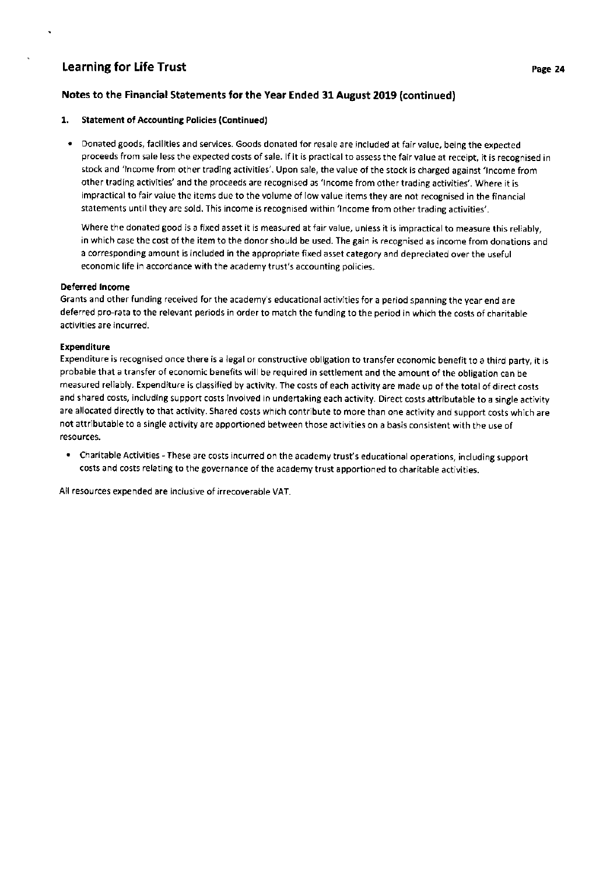# Notes to the Financial Statements for the Year Ended 31 August 2019 (continued)

## L. Statement of Accounting Policies (Continued)

. Donated goods, facilities and services. Goods donated for resale are included at fair value, being the expected proceeds from sale less the expected costs of sale. lf it is practical to assess the fair value at receipt, it is recognised in stock and 'lncome from other trading activities'. Upon sale, the value of the stock is charged against 'lncome from other trading activities' and the proceeds are recognised as 'lncome from other trading activities'. Where it is impractical to fair value the items due to the volume of low value items they are not recognised in the financial statements until they are sold. This income is recognised within 'lncome from other trading activities'.

Where the donated good is a fixed asset it is measured at fair value, unless it is impractical to measure this reliably, in which case the cost of the item to the donor should be used. The gain is recognised as income from donations and a corresponding amount is included in the appropriate fixed asset category and depreciated over the useful economic life in accordance with the academy trust's accounting policies.

## Deferred lncome

Grants and other funding received for the academy's educational activities for a period spanning the year end are deferred pro-rata to the relevant periods in order to match the funding to the period in which the costs of charitable activities are incurred.

## Expenditure

Expenditure is recognised once there is a legal or constructive obligation to transfer economic benefit to a third party, it is probable that a transfer of economic benefits will be required in settlement and the amount of the obligation can be measured reliably. Expenditure is classified by activity. The costs of each activity are made up of the total of direct costs and shared costs, including support costs involved in undertaking each activity. Direct costs attributable to a single activity are allocated directly to that activity. Shared costs which contribute to more than one activity and support costs which are not attributable to a single activity are apportioned between those activities on a basis consistent with the use of resources.

' Charitable Activities - These are costs incurred on the academy trust's educational operations, including support costs and costs relating to the governance of the academy trust apportioned to charitable activities,

All resources expended are inclusive of irrecoverable VAT.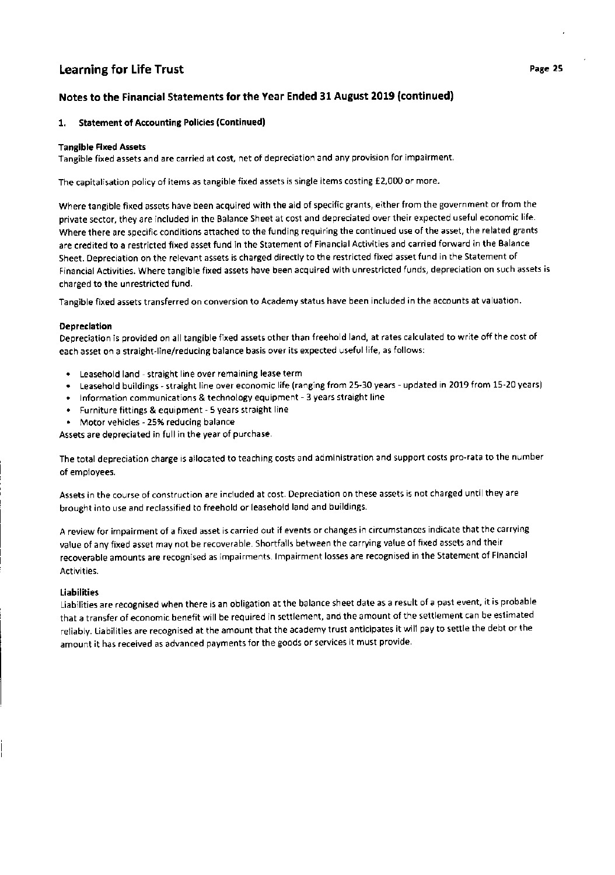# Notes to the Financial Statements for the Year Ended 31 August 2019 (continued)

## 1. Statement of Accounting Policies (Continued)

## Tangible FIxed Assets

Tangible fixed assets and are carried at cost, net of depreciation and any provision for impairment.

The capitalisation policy of items as tangible fixed assets is single items costing €2,000 or more.

Where tangible fixed assets have been acquired with the aid of specific grants, either from the government or from the private sector, they are included in the Balance Sheet at cost and depreciated over their expected useful economic life. Where there are specific conditions attached to the funding requiring the continued use of the asset, the related grants are credited to a restricted fixed asset fund in the Statement of Financial Activities and carried forward in the Balance Sheet. Depreciation on the relevant assets is charged directly to the restricted fixed asset fund in the Statement of Financial Activities. Where tangible fixed assets have been acquired with unrestricted funds, depreciation on such assets is charged to the unrestricted fund.

Tangible fixed assets transferred on conversion to Academy status have been included in the accounts at valuation.

## Depreciation

Depreciation is provided on all tangible fixed assets other than freehold land, at rates calculated to write offthe cost of each asset on a straight-line/reducing balance basis over its expected useful life, as follows:

- . Leasehold land straight line over remaining lease term
- . Leasehold buildings straight line over economic life (ranging from 25-30 years updated in 2019 from 15-20 years)
- . lnformation communications & technology equipment 3 years straight line
- . Furniture fittings & equipment 5 years straight line
- . Motor vehicles 25% reducing balance

Assets are depreciated in full in the year of purchase.

The total depreciation charge is allocated to teaching costs and administration and support costs pro-rata to the number of employees.

Assets in the course of construction are included at cost. Depreciation on these assets is not charged until they are brought into use and reclassified to freehold or leasehold land and buildings.

A review for impairment of a fixed asset is carried out if events or changes in circumstances indicate that the carrying value of any fixed asset may not be recoverable. Shortfalls between the carrying value of fixed assets and their recoverable amounts are recognised as impairments. lmpairment losses are recognised in the Statement of Financial Activities.

## Liabilities

Liabilities are recognised when there is an obligation at the balance sheet date as a result of a past event, it is probable that a transfer of economic benefit will be required in settlement, and the amount of the settlement can be estimated reliably. Liabilities are recognised at the amount that the academy trust anticipates it will pay to settle the debt or the amount it has received as advanced payments for the goods or services it must provide.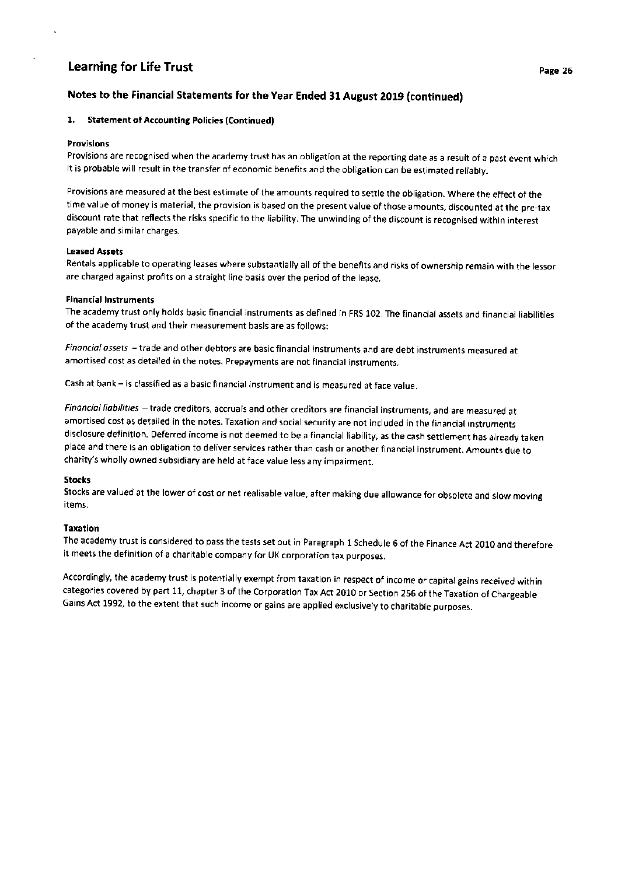# Notes to the Financial Statements for the Year Ended 31 August 2019 (continued)

#### 1. Statement of Accounting Policies (Continued)

#### Provisions

Provisions are recognised when the academy trust has an obligation at the reporting date as a result of a past event which it is probable will result in the transfer of economic benefits and the obligation can be estimated reliably.

Provisions are measured at the best estimate of the amounts required to settle the obligation. Where the effect of the time value of money is material, the provision is based on the present value of those amounts, discounted at the pre-tax discount rate that reflects the risks specific to the liability. The unwinding of the discount is recognised within interest payable and similar charges.

## leased Assets

Rentals applicable to operating leases where substantially all of the benefits and risks of ownership remain with the lessor are charged against profits on a straight line basis over the period of the lease.

## Financial lnstruments

The academy trust only holds basic financial instruments as defined in FRS 102. The financial assets and financial liabilities of the academy trust and their measurement basis are as follows:

Financial assets - trade and other debtors are basic financial instruments and are debt instruments measured at amortised cost as detailed in the notes. Prepayments are not financial instruments.

Cash at bank - is classified as a basic financial instrument and is measured at face value.

Financial liabilities - trade creditors, accruals and other creditors are financial instruments, and are measured at amortised cost as detailed in the notes. Taxation and social security are not included in the financial instruments disclosure definition. Deferred income is not deemed to be a financial liability, as the cash settlement has already taken place and there is an obligation to deliver services rather than cash or another financial instrument. Amounts due to charity's wholly owned subsidiary are held at face value less any impairment.

#### **Stocks**

Stocks are valued at the lower of cost or net realisable value, after making due allowance for obsolete and slow moving items.

## Taxation

The academy trust is considered to pass the tests set out in Paragraph 1 schedule 6 of the Finance Act 2010 and therefore it meets the definition of a charitable company for UK corporation tax purposes.

Accordingly, the academy trust is potentially exempt from taxation in respect of income or capital gains received within categories covered by part 11, chapter 3 of the Corporation Tax Act 2010 or Section 256 of the Taxation of Chargeable Gains Act 1992, to the extent that such income or gains are applied exclusively to charitable purposes.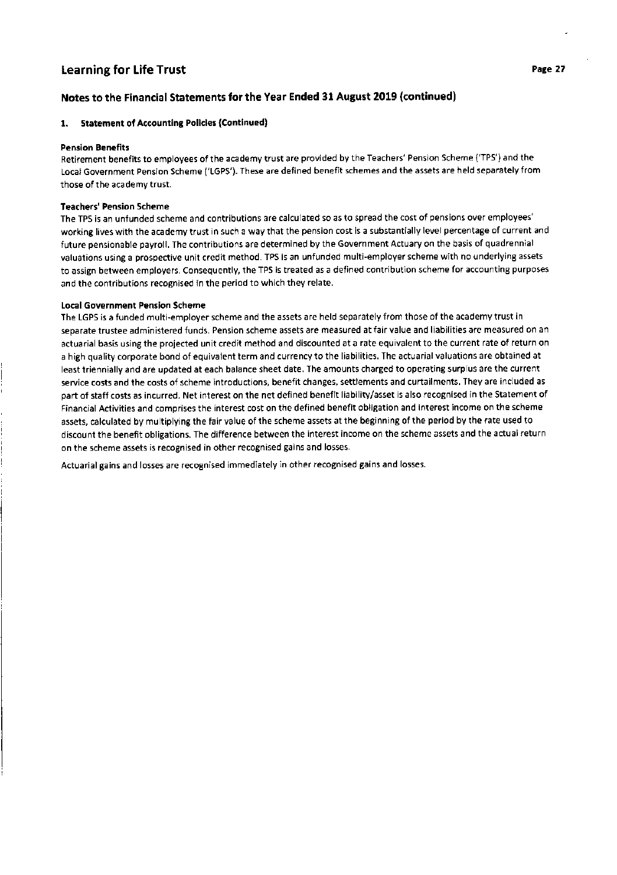# Notes to the Financial Statements for the Year Ended 31 August 2019 (continued)

## 1. Statement of Accounting Policies (Continued)

#### Pension Benefits

Retirement benefits to employees of the academy trust are provided by the Teachers' Pension Scheme ('TPS') and the Local Government Pension Scheme ('LGPS'). These are defined benefit schemes and the assets are held separately from those of the academy trust.

#### Teachers' Pension Scheme

The TPS is an unfunded scheme and contributions are calculated so as to spread the cost of pensions over employees' working lives with the academy trust in such a way that the pension cost is a substantially level percentage of current and future pensionable payroll. The contributions are determined by the Government Actuary on the basis of quadrennial valuations using a prospective unit credit method. TPS is an unfunded multi-employer scheme with no underlying assets to assign between employers. Consequently, the TPS is treated as a defined contribution scheme for accounting purposes and the contributions recognised in the period to which they relate.

## Local Government Pension Scheme

The LGPS is a funded multi-employer scheme and the assets are held separately from those of the academy trust in separate trustee administered funds. Pension scheme assets are measured at fair value and liabilities are measured on an actuarial basis using the projected unit credit method and discounted at a rate equivalent to the current rate of return on a high quality corporate bond of equivalent term and currency to the liabilities. The actuarial valuations are obtained at least triennially and are updated at each balance sheet date. The amounts charged to operating surplus are the current service costs and the costs of scheme introductions, benefit changes, settlements and curtailments. They are included as part of staff costs as incurred. Net interest on the net defined benefit liability/asset is also recognised in the Statement of Financial Activities and comprises the interest cost on the defined benefit obligation and interest income on the scheme assets, calculated by multiplying the fair value of the scheme assets at the beginning of the period by the rate used to discount the benefit obligations. The difference between the interest income on the scheme assets and the actual return on the scheme assets is recognised in other recognised gains and losses.

Actuarial gains and losses are recognised immediately in other recognised gains and losses.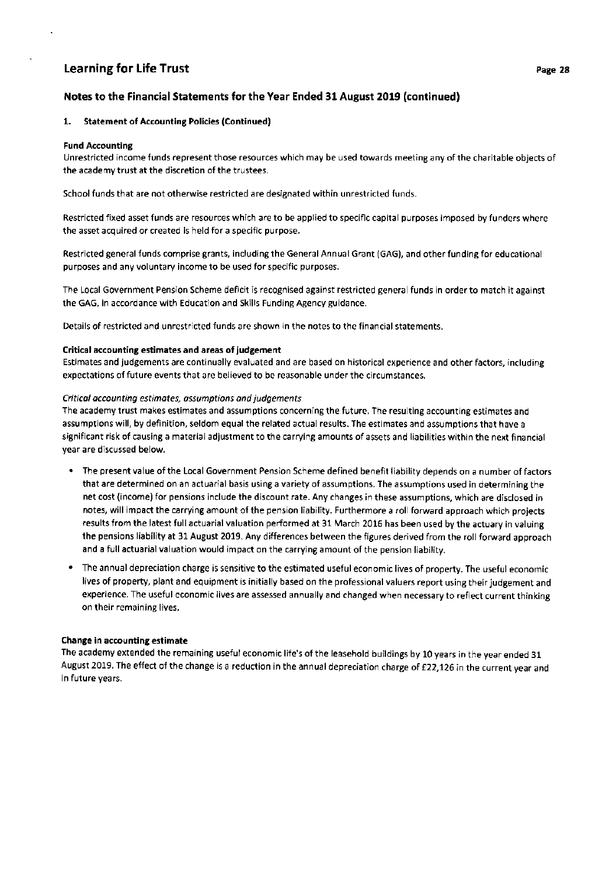# Notes to the Financial Statements for the Year Ended 31 August 2019 (continued)

#### 1. Statement of Accounting Policies (Continued)

#### Fund Accounting

Unrestricted income funds represent those resources which may be used towards meeting any of the charitable objects of the academy trust at the discretion of the trustees.

School funds that are not otherwise restricted are designated within unrestricted funds.

Restricted fixed asset funds are resources which are to be applied to specific capital purposes imposed by funders where the asset acquired or created is held for a specific purpose.

Restricted general funds comprise grants, including the General Annual Grant (GAG), and other funding for educational purposes and any voluntary income to be used for specific purposes.

The Local Government Pension Scheme deficit is recognised against restricted general funds in order to match it against the GAG, in accordance with Education and Skills Funding Agency guidance.

Details of restricted and unrestricted funds are shown in the notes to the financial statements.

## Critical accounting estimates and areas of judgement

Estimates and judgements are continually evaluated and are based on historical experience and other factors, including expectations of future events that are believed to be reasonable under the circumstances.

## Criticol occounting estimotes, assumptions ond judgements

The academy trust makes estimates and assumptions concerning the future. The resulting accounting estimates and assumptions will, by definition, seldom equal the related actual results. The estimates and assumptions that have <sup>a</sup> significant risk of causing a material adjustment to the carrying amounts of assets and liabilities within the next financial year are discussed below.

- . The present value of the Local Government Pension Scheme defined benefit liability depends on a number of factors that are determined on an actuarial basis using a variety of assumptions. The assumptions used in determining the net cost (income) for pensions include the discount rate. Any changes in these assumptions, which are disclosed in notes, will impact the carrying amount of the pension liability. Furthermore a roll forward approach which projects results from the latest full actuarial valuation performed at 31 March 2016 has been used by the actuary in valuing the pensions liability at 31 August 2019. Any differences between the figures derived from the roll forward approach and a full actuarial valuation would impact on the carrying amount of the pension liability.
- . The annual depreciation charge is sensitive to the estimated useful economic lives of property. The useful economic lives of property, plant and equipment is initially based on the professional valuers report using their judgement and experience. The useful economic lives are assessed annually and changed when necessary to reflect current thinking on their remaining lives.

#### Change in accounting estimate

The academy extended the remaining useful economic life's of the leasehold buildings by 10 years in the year ended 31 August 2019. The effect of the change is a reduction in the annual depreciation charge of £22,126 in the current year and in future years.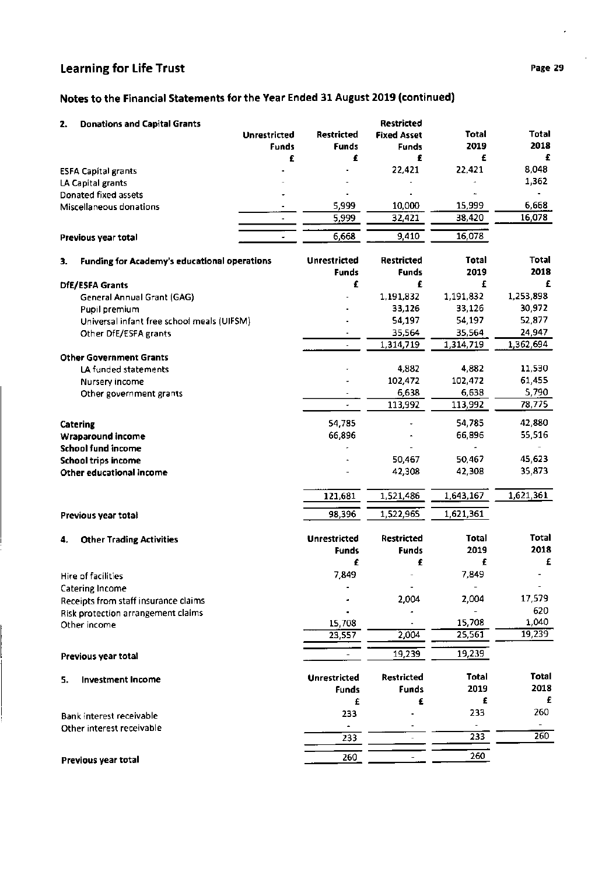# Notes to the Financial Statements for the Year Ended 31 August 2019 (continued)

| 2. | <b>Donations and Capital Grants</b>          | <b>Unrestricted</b><br><b>Funds</b> | <b>Restricted</b><br><b>Funds</b> | Restricted<br><b>Fixed Asset</b><br><b>Funds</b> | Total<br>2019 | Total<br>2018 |
|----|----------------------------------------------|-------------------------------------|-----------------------------------|--------------------------------------------------|---------------|---------------|
|    |                                              | £                                   | £                                 | £                                                | £             | £             |
|    | <b>ESFA Capital grants</b>                   |                                     |                                   | 22,421                                           | 22,421        | 8,048         |
|    | LA Capital grants                            |                                     |                                   |                                                  |               | 1,362         |
|    | Donated fixed assets                         |                                     |                                   |                                                  |               |               |
|    | Miscellaneous donations                      |                                     | 5,999                             | 10,000                                           | 15,999        | 6,668         |
|    |                                              |                                     | 5,999                             | 32,421                                           | 38,420        | 16,078        |
|    | Previous year total                          |                                     | 6,668                             | 9,410                                            | 16,078        |               |
| 3. | Funding for Academy's educational operations |                                     | <b>Unrestricted</b>               | Restricted                                       | <b>Total</b>  | <b>Total</b>  |
|    |                                              |                                     | <b>Funds</b>                      | Funds                                            | 2019          | 2018          |
|    | DfE/ESFA Grants                              |                                     | £                                 | £                                                | £             | £             |
|    | General Annual Grant (GAG)                   |                                     |                                   | 1,191,832                                        | 1,191,832     | 1,253,898     |
|    | Pupil premium                                |                                     |                                   | 33,126                                           | 33,126        | 30,972        |
|    | Universal infant free school meals (UIFSM)   |                                     |                                   | 54,197                                           | 54,197        | 52,877        |
|    | Other DfE/ESFA grants                        |                                     |                                   | 35,564                                           | 35,564        | 24,947        |
|    |                                              |                                     |                                   | 1,314,719                                        | 1,314,719     | 1,362,694     |
|    | <b>Other Government Grants</b>               |                                     |                                   | 4,882                                            | 4,882         | 11,530        |
|    | LA funded statements<br>Nursery income       |                                     |                                   | 102,472                                          | 102,472       | 61,455        |
|    | Other government grants                      |                                     |                                   | 6,638                                            | 6,638         | 5,790         |
|    |                                              |                                     |                                   | 113,992                                          | 113,992       | 78,775        |
|    |                                              |                                     |                                   |                                                  |               |               |
|    | <b>Catering</b>                              |                                     | 54,785                            |                                                  | 54,785        | 42,880        |
|    | Wraparound income                            |                                     | 66,896                            |                                                  | 66,896        | 55,516        |
|    | <b>School fund income</b>                    |                                     |                                   |                                                  |               |               |
|    | <b>School trips income</b>                   |                                     |                                   | 50,467                                           | 50,467        | 45,623        |
|    | Other educational income                     |                                     |                                   | 42,308                                           | 42,308        | 35,873        |
|    |                                              |                                     | 121,681                           | 1,521,486                                        | 1,643,167     | 1,621,361     |
|    | Previous year total                          |                                     | 98,396                            | 1,522,965                                        | 1,621,361     |               |
| 4. | <b>Other Trading Activities</b>              |                                     | <b>Unrestricted</b>               | <b>Restricted</b>                                | <b>Total</b>  | <b>Total</b>  |
|    |                                              |                                     | <b>Funds</b>                      | <b>Funds</b>                                     | 2019          | 2018          |
|    | Hire of facilities                           |                                     | £<br>7,849                        | £                                                | £<br>7,849    | £             |
|    | Catering Income                              |                                     |                                   |                                                  |               |               |
|    | Receipts from staff insurance claims         |                                     |                                   | 2,004                                            | 2,004         | 17,579        |
|    | Risk protection arrangement claims           |                                     |                                   |                                                  |               | 620           |
|    | Other income                                 |                                     | 15,708                            |                                                  | 15,708        | 1,040         |
|    |                                              |                                     | 23,557                            | 2,004                                            | 25,561        | 19,239        |
|    | Previous year total                          |                                     |                                   | 19,239                                           | 19,239        |               |
|    |                                              |                                     | <b>Unrestricted</b>               | <b>Restricted</b>                                | <b>Total</b>  | Total         |
| 5. | <b>Investment Income</b>                     |                                     | <b>Funds</b>                      | <b>Funds</b>                                     | 2019          | 2018          |
|    |                                              |                                     | £                                 | £                                                | £             | £             |
|    | Bank interest receivable                     |                                     | 233                               |                                                  | 233           | 260           |
|    | Other interest receivable                    |                                     |                                   |                                                  |               |               |
|    |                                              |                                     | 233                               |                                                  | 233           | 260           |
|    |                                              |                                     | 260                               |                                                  | 260           |               |
|    | Previous year total                          |                                     |                                   |                                                  |               |               |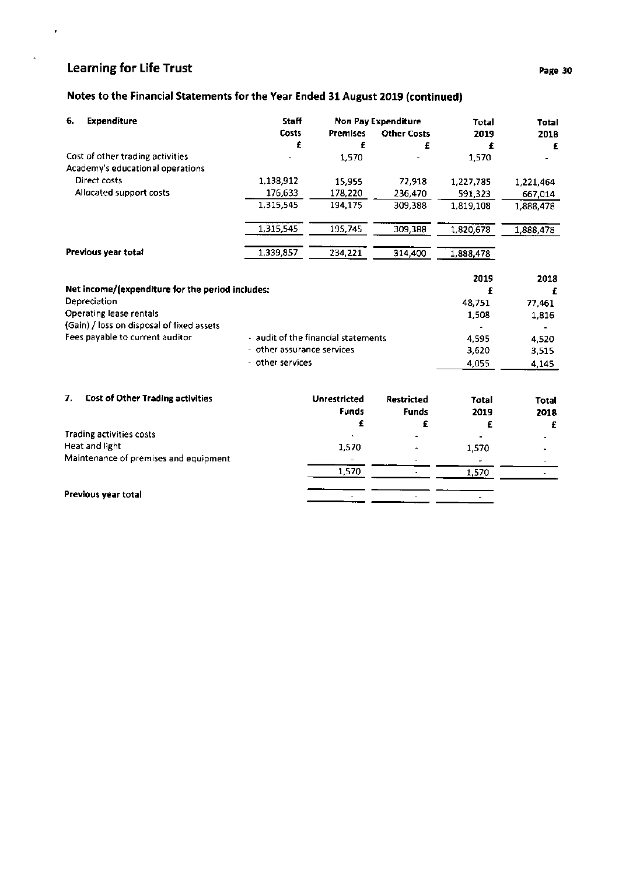$\ddot{\phantom{a}}$ 

# Notes to the Financial Statements for the Year Ended 31 August 2019 (continued)

| 6. | <b>Expenditure</b>                                                   | Staff                               |                     | <b>Non Pay Expenditure</b> | Total        | <b>Total</b> |
|----|----------------------------------------------------------------------|-------------------------------------|---------------------|----------------------------|--------------|--------------|
|    |                                                                      | Costs                               | <b>Premises</b>     | <b>Other Costs</b>         | 2019         | 2018         |
|    |                                                                      | £                                   | £                   | £                          | £            | £            |
|    | Cost of other trading activities<br>Academy's educational operations |                                     | 1,570               |                            | 1,570        |              |
|    | Direct costs                                                         | 1,138,912                           | 15,955              | 72,918                     | 1,227,785    | 1,221,464    |
|    | Allocated support costs                                              | 176,633                             | 178,220             | 236,470                    | 591,323      | 667,014      |
|    |                                                                      | 1,315,545                           | 194,175             | 309,388                    | 1,819,108    | 1,888,478    |
|    |                                                                      | 1,315,545                           | 195,745             | 309,388                    | 1,820,678    | 1,888,478    |
|    | Previous year total                                                  | 1,339,857                           | 234,221             | 314,400                    | 1,888,478    |              |
|    |                                                                      |                                     |                     |                            | 2019         | 2018         |
|    | Net income/(expenditure for the period includes:                     |                                     |                     |                            | £            | £            |
|    | Depreciation                                                         |                                     |                     |                            | 48.751       | 77,461       |
|    | Operating lease rentals                                              |                                     |                     |                            | 1,508        | 1,816        |
|    | (Gain) / loss on disposal of fixed assets                            |                                     |                     |                            |              |              |
|    | Fees payable to current auditor                                      | - audit of the financial statements |                     |                            | 4.595        | 4,520        |
|    |                                                                      | - other assurance services          |                     |                            | 3,620        | 3,515        |
|    |                                                                      | - other services                    |                     |                            | 4,055        | 4,145        |
| 7. | <b>Cost of Other Trading activities</b>                              |                                     | <b>Unrestricted</b> | Restricted                 | <b>Total</b> | <b>Total</b> |
|    |                                                                      |                                     | <b>Funds</b>        | <b>Funds</b>               | 2019         | 2018         |
|    |                                                                      |                                     | £                   | £                          | £            | £            |
|    | Trading activities costs                                             |                                     |                     |                            |              |              |
|    | Heat and light                                                       |                                     | 1,570               |                            | 1,570        |              |
|    | Maintenance of premises and equipment                                |                                     |                     |                            |              |              |
|    |                                                                      |                                     | 1,570               |                            | 1,570        |              |

 $\sim$ 

 $\frac{1}{2}$   $\frac{1}{2}$ 

Previous year total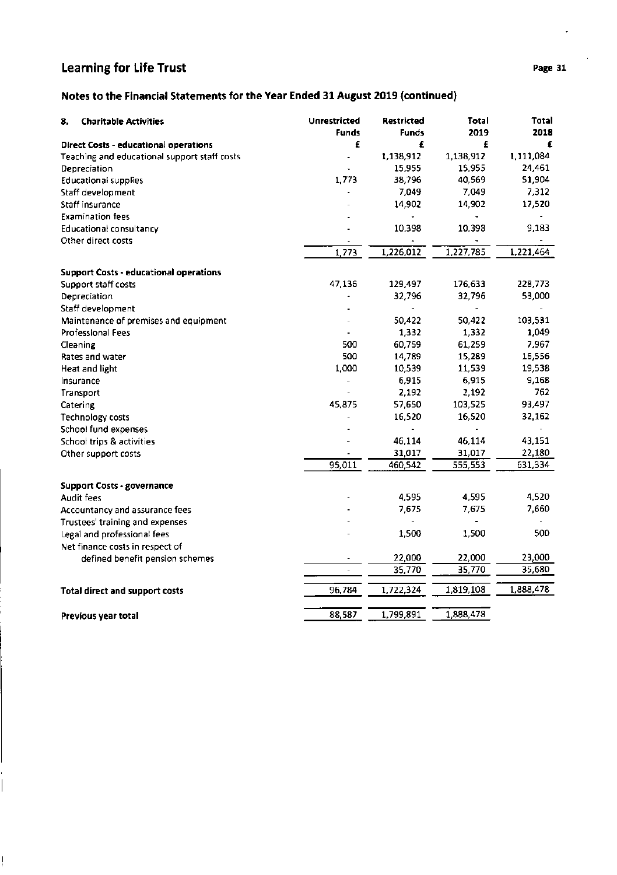$\frac{1}{\sqrt{2}}$ 

 $\prod_{i=1}^{n}$ 

# Notes to the Financial Statements for the Year Ended 31 August 2019 (continued)

| £<br>£<br>Direct Costs - educational operations<br>1,138,912<br>1,138,912<br>Teaching and educational support staff costs<br>ä,<br>15,955<br>15,955<br>Depreciation<br>1,773<br>38,796<br>40,569<br><b>Educational supplies</b><br>7,049<br>7,049<br>Staff development<br>14,902<br>Staff insurance<br>14,902<br><b>Examination fees</b><br>10,398<br><b>Educational consultancy</b><br>10,398<br>Other direct costs<br>1,226,012<br>1,227,785<br>1,773<br><b>Support Costs - educational operations</b><br>47,136<br>129,497<br>176,633<br>Support staff costs<br>32,796<br>32,796<br>Depreciation | Total<br>Total<br>2019<br>2018 |
|-----------------------------------------------------------------------------------------------------------------------------------------------------------------------------------------------------------------------------------------------------------------------------------------------------------------------------------------------------------------------------------------------------------------------------------------------------------------------------------------------------------------------------------------------------------------------------------------------------|--------------------------------|
|                                                                                                                                                                                                                                                                                                                                                                                                                                                                                                                                                                                                     | £<br>£                         |
|                                                                                                                                                                                                                                                                                                                                                                                                                                                                                                                                                                                                     | 1,111,084                      |
|                                                                                                                                                                                                                                                                                                                                                                                                                                                                                                                                                                                                     | 24,461                         |
|                                                                                                                                                                                                                                                                                                                                                                                                                                                                                                                                                                                                     | 51,904                         |
|                                                                                                                                                                                                                                                                                                                                                                                                                                                                                                                                                                                                     | 7,312                          |
|                                                                                                                                                                                                                                                                                                                                                                                                                                                                                                                                                                                                     | 17,520                         |
|                                                                                                                                                                                                                                                                                                                                                                                                                                                                                                                                                                                                     |                                |
|                                                                                                                                                                                                                                                                                                                                                                                                                                                                                                                                                                                                     | 9,183                          |
|                                                                                                                                                                                                                                                                                                                                                                                                                                                                                                                                                                                                     |                                |
|                                                                                                                                                                                                                                                                                                                                                                                                                                                                                                                                                                                                     | 1,221,464                      |
|                                                                                                                                                                                                                                                                                                                                                                                                                                                                                                                                                                                                     |                                |
|                                                                                                                                                                                                                                                                                                                                                                                                                                                                                                                                                                                                     | 228,773                        |
|                                                                                                                                                                                                                                                                                                                                                                                                                                                                                                                                                                                                     | 53,000                         |
| Staff development<br>$\blacksquare$<br>٠                                                                                                                                                                                                                                                                                                                                                                                                                                                                                                                                                            |                                |
| 50,422<br>50,422<br>Maintenance of premises and equipment                                                                                                                                                                                                                                                                                                                                                                                                                                                                                                                                           | 103,531                        |
| 1,332<br>1,332<br><b>Professional Fees</b>                                                                                                                                                                                                                                                                                                                                                                                                                                                                                                                                                          | 1,049                          |
| 500<br>60,759<br>61,259<br>Cleaning                                                                                                                                                                                                                                                                                                                                                                                                                                                                                                                                                                 | 7,967                          |
| 500<br>14,789<br>15,289<br>Rates and water                                                                                                                                                                                                                                                                                                                                                                                                                                                                                                                                                          | 16,556                         |
| 1,000<br>10,539<br>11,539<br>Heat and light                                                                                                                                                                                                                                                                                                                                                                                                                                                                                                                                                         | 19,538                         |
| 6,915<br>6,915<br>Insurance                                                                                                                                                                                                                                                                                                                                                                                                                                                                                                                                                                         | 9,168                          |
| 2,192<br>2,192<br>Transport                                                                                                                                                                                                                                                                                                                                                                                                                                                                                                                                                                         | 762                            |
| 45,875<br>103,525<br>57,650<br>Catering                                                                                                                                                                                                                                                                                                                                                                                                                                                                                                                                                             | 93,497                         |
| 16,520<br>16,520<br>Technology costs                                                                                                                                                                                                                                                                                                                                                                                                                                                                                                                                                                | 32,162                         |
| School fund expenses<br>$\blacksquare$<br>٠                                                                                                                                                                                                                                                                                                                                                                                                                                                                                                                                                         |                                |
| 46,114<br>46,114<br>School trips & activities                                                                                                                                                                                                                                                                                                                                                                                                                                                                                                                                                       | 43,151                         |
| 31,017<br>31,017<br>Other support costs                                                                                                                                                                                                                                                                                                                                                                                                                                                                                                                                                             | 22,180                         |
| 95,011<br>460,542<br>555,553                                                                                                                                                                                                                                                                                                                                                                                                                                                                                                                                                                        | 631,334                        |
| <b>Support Costs - governance</b>                                                                                                                                                                                                                                                                                                                                                                                                                                                                                                                                                                   |                                |
| 4,595<br>4,595<br><b>Audit fees</b>                                                                                                                                                                                                                                                                                                                                                                                                                                                                                                                                                                 | 4,520                          |
| 7,675<br>7,675<br>Accountancy and assurance fees                                                                                                                                                                                                                                                                                                                                                                                                                                                                                                                                                    | 7,660                          |
| Trustees' training and expenses<br>$\blacksquare$<br>$\overline{\phantom{a}}$                                                                                                                                                                                                                                                                                                                                                                                                                                                                                                                       |                                |
| 1,500<br>1,500<br>Legal and professional fees                                                                                                                                                                                                                                                                                                                                                                                                                                                                                                                                                       | 500                            |
| Net finance costs in respect of                                                                                                                                                                                                                                                                                                                                                                                                                                                                                                                                                                     |                                |
| 22,000<br>22,000<br>defined benefit pension schemes<br>$\overline{\phantom{a}}$                                                                                                                                                                                                                                                                                                                                                                                                                                                                                                                     | 23,000                         |
| 35,770<br>35,770<br>$\overline{\phantom{a}}$                                                                                                                                                                                                                                                                                                                                                                                                                                                                                                                                                        | 35,680                         |
| 1,722,324<br>1,819,108<br>96,784<br><b>Total direct and support costs</b>                                                                                                                                                                                                                                                                                                                                                                                                                                                                                                                           | 1,888,478                      |
| 1,888,478<br>88,587<br>1,799,891<br>Previous year total                                                                                                                                                                                                                                                                                                                                                                                                                                                                                                                                             |                                |

ł,

 $\overline{\phantom{a}}$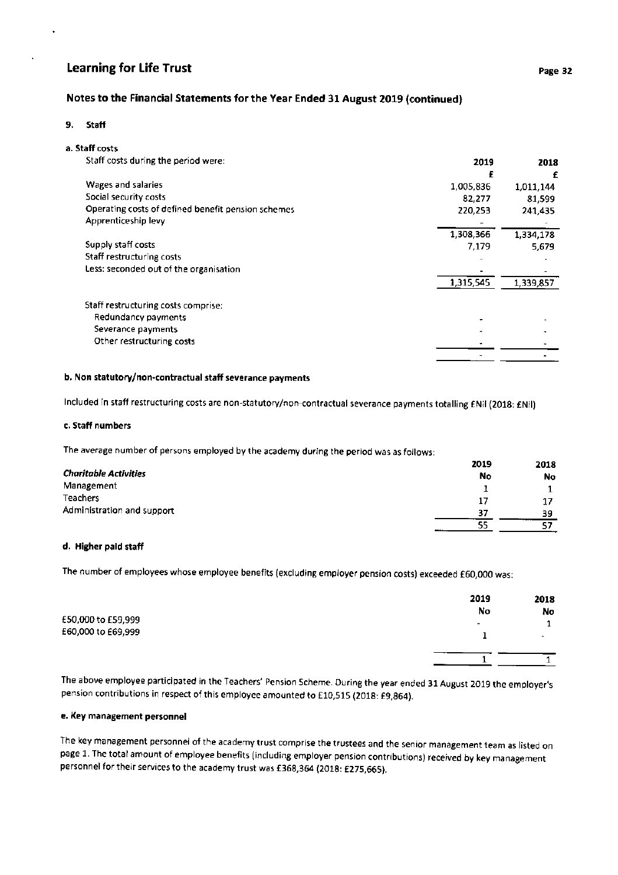# Notes to the Financial Statements for the Year Ended 3l August 2019 (continued)

#### 9. Staff

## a. Staff costs

| Staff costs during the period were:                | 2019      | 2018      |
|----------------------------------------------------|-----------|-----------|
|                                                    | £         | £         |
| Wages and salaries                                 | 1,005,836 | 1,011,144 |
| Social security costs                              | 82,277    | 81.599    |
| Operating costs of defined benefit pension schemes | 220,253   | 241,435   |
| Apprenticeship levy                                |           |           |
|                                                    | 1,308,366 | 1,334,178 |
| Supply staff costs                                 | 7,179     | 5,679     |
| Staff restructuring costs                          |           |           |
| Less: seconded out of the organisation             |           |           |
|                                                    | 1,315,545 | 1,339,857 |
| Staff restructuring costs comprise:                |           |           |
| Redundancy payments                                |           |           |
| Severance payments                                 |           |           |
| Other restructuring costs                          |           |           |
|                                                    |           |           |
|                                                    |           |           |

# b. Non statutory/non-contractual staff severance payments

Included in staff restructuring costs are non-statutory/non-contractual severance payments totalling ENil (2018: ENil)

## c. Staff numbers

The average number of persons employed by the academy during the period was as follows:

|                              | 2019 | 2018 |
|------------------------------|------|------|
| <b>Charitable Activities</b> | No   | No   |
| Management                   |      |      |
| Teachers                     | 17   | 17   |
| Administration and support   | 37   | 39   |
|                              | 55   |      |

# d. Higher paid staff

The number of employees whose employee benefits (excluding employer pension costs) exceeded f60,000 was:

|                    | 2019<br>No | 2018<br>No |
|--------------------|------------|------------|
| £50,000 to £59,999 |            |            |
| £60,000 to £69,999 | -          | $\sim$     |
|                    |            |            |

The above employee participated in the Teachers' Pension Scheme. During the year ended 31 August 2019 the employer's pension contributions in respect of this employee amounted to £10,515 (2018: £9,864).

## e. Key management personnel

The key management personnel of the academy trust comprise the trustees and the senior management team as listed on page 1. The total amount of employee benefits (including employer pension contributions) received by key management personnel for their services to the academy trust was £368,364 (2018: £275,665).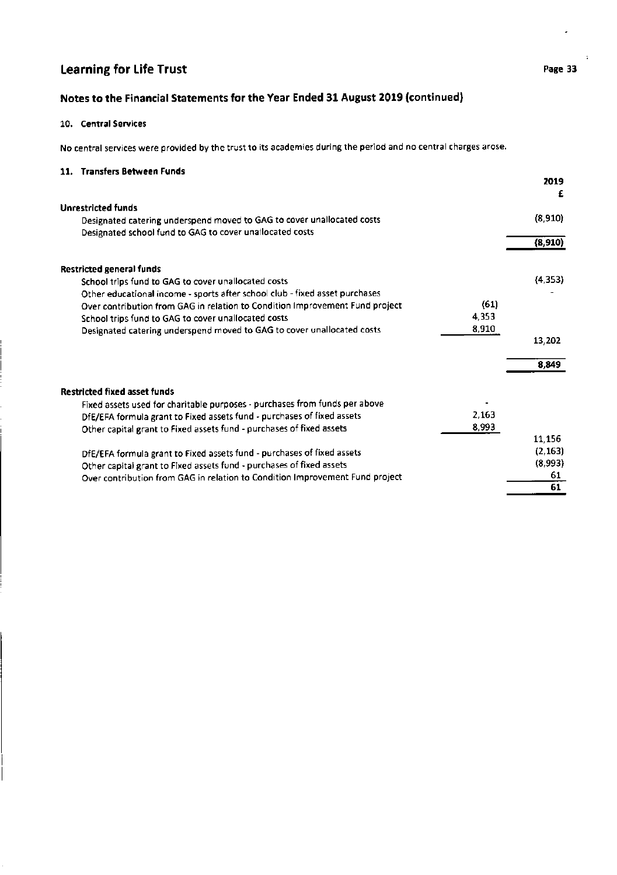ä.

# Notes to the Financial Statements for the Year Ended 31 August 2019 (continued)

## 10. Central Services

No central services were provided by the trust to its academies during the period and no central charges arose.

# 11. Transfers Between Funds

|                                                                                      | 2019<br>£ |
|--------------------------------------------------------------------------------------|-----------|
| <b>Unrestricted funds</b>                                                            |           |
| Designated catering underspend moved to GAG to cover unallocated costs               | (8,910)   |
| Designated school fund to GAG to cover unallocated costs                             |           |
|                                                                                      | (8,910)   |
| <b>Restricted general funds</b>                                                      |           |
| School trips fund to GAG to cover unallocated costs                                  | (4, 353)  |
| Other educational income - sports after school club - fixed asset purchases          |           |
| (61)<br>Over contribution from GAG in relation to Condition Improvement Fund project |           |
| 4,353<br>School trips fund to GAG to cover unallocated costs                         |           |
| 8,910<br>Designated catering underspend moved to GAG to cover unallocated costs      |           |
|                                                                                      | 13,202    |
|                                                                                      | 8,849     |
| <b>Restricted fixed asset funds</b>                                                  |           |
| Fixed assets used for charitable purposes - purchases from funds per above           |           |
| 2.163<br>DfE/EFA formula grant to Fixed assets fund - purchases of fixed assets      |           |
| 8,993<br>Other capital grant to Fixed assets fund - purchases of fixed assets        |           |
|                                                                                      | 11,156    |
| DfE/EFA formula grant to Fixed assets fund - purchases of fixed assets               | (2, 163)  |
| Other capital grant to Fixed assets fund - purchases of fixed assets                 | (8,993)   |
| Over contribution from GAG in relation to Condition Improvement Fund project         | 61        |
|                                                                                      | 61        |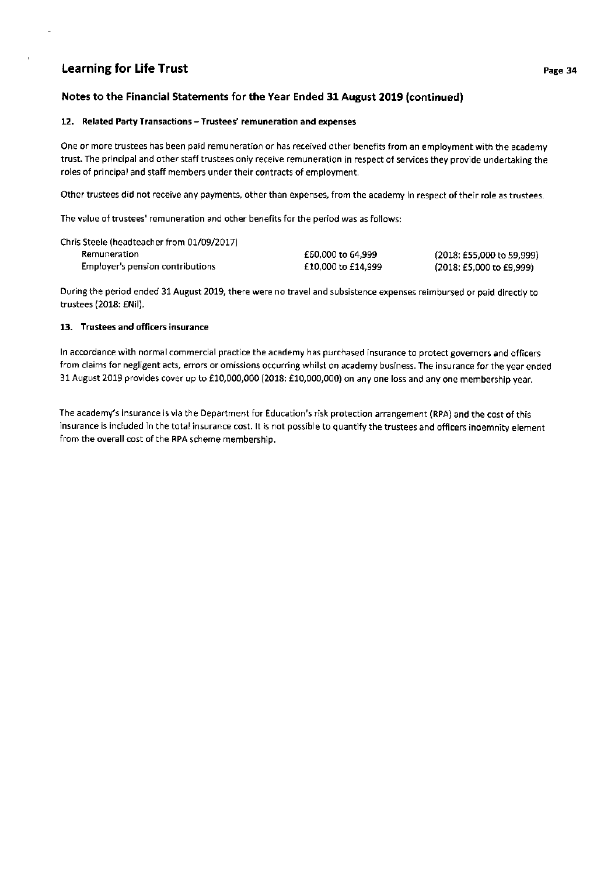# Notes to the Financial Statements for the Year Ended 31 August 2019 (continued)

## 12. Related Party Transactions - Trustees' remuneration and expenses

One or more trustees has been paid remuneration or has received other benefits from an employment with the academy trust. The principal and other staff trustees only receive remuneration in respect of services they provide undertaking the roles of principal and staff members under their contracts of employment.

Other trustees did not receive any payments, other than expenses, from the academy in respect of their role as trustees.

The value of trustees' remuneration and other benefits for the period was as follows:

| Chris Steele (headteacher from 01/09/2017) |                    |                           |
|--------------------------------------------|--------------------|---------------------------|
| Remuneration                               | £60,000 to 64.999  | (2018: £55,000 to 59.999) |
| Employer's pension contributions           | £10,000 to £14,999 | (2018: £5,000 to £9,999)  |

During the period ended 31 August 2019, there were no travel and subsistence expenses reimbursed or paid directly to trustees (2018: €Nil).

## 13. Trustees and officers insurance

ln accordance with normal commercial practice the academy has purchased insurance to protect governors and officers from claims for negligent acts, errors or omissions occurring whilst on academy business. The insurance for the year ended 31 August 2019 provides cover up to f10,000,000 (2018: f10,000,000) on any one loss and any one membership year.

The academy's insurance is via the Department for Education's risk protection arrangement (RPA) and the cost of this insurance is included in the total insurance cost. lt is not possible to quantify the trustees and officers indemnity element from the overall cost of the RPA scheme membership.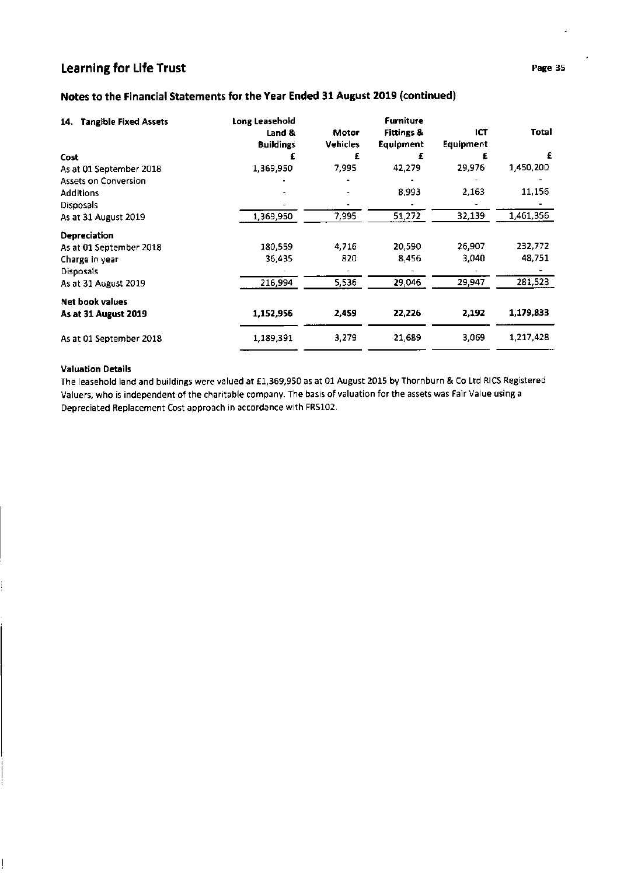# Notes to the Financial Statements for the Year Ended 31 August 2019 (continued)

| <b>Tangible Fixed Assets</b><br>14. | Long Leasehold<br>Land &<br><b>Buildings</b> | Motor<br><b>Vehicles</b> | <b>Furniture</b><br><b>Fittings &amp;</b><br>Equipment | ICT<br><b>Equipment</b> | Total     |
|-------------------------------------|----------------------------------------------|--------------------------|--------------------------------------------------------|-------------------------|-----------|
| Cost                                |                                              | £                        | £                                                      |                         | £         |
| As at 01 September 2018             | 1,369,950                                    | 7,995                    | 42,279                                                 | 29,976                  | 1,450,200 |
| <b>Assets on Conversion</b>         |                                              |                          |                                                        |                         |           |
| <b>Additions</b>                    |                                              |                          | 8,993                                                  | 2,163                   | 11,156    |
| Disposals                           |                                              |                          |                                                        |                         |           |
| As at 31 August 2019                | 1,369,950                                    | 7,995                    | 51,272                                                 | 32,139                  | 1,461,356 |
| <b>Depreciation</b>                 |                                              |                          |                                                        |                         |           |
| As at 01 September 2018             | 180,559                                      | 4,716                    | 20,590                                                 | 26,907                  | 232,772   |
| Charge in year                      | 36,435                                       | 820                      | 8,456                                                  | 3,040                   | 48,751    |
| <b>Disposals</b>                    |                                              |                          |                                                        |                         |           |
| As at 31 August 2019                | 216,994                                      | 5,536                    | 29,046                                                 | 29,947                  | 281,523   |
| Net book values                     |                                              |                          |                                                        |                         |           |
| As at 31 August 2019                | 1,152,956                                    | 2,459                    | 22,226                                                 | 2,192                   | 1,179,833 |
| As at 01 September 2018             | 1,189,391                                    | 3,279                    | 21,689                                                 | 3,069                   | 1,217,428 |

# Valuation Details

The leasehold land and buildings were valued at £1,369,950 as at 01 August 2015 by Thornburn & Co Ltd RICS Registered Valuers, who is independent of the charitable company. The basis of valuation for the assets was Fair Value using <sup>a</sup> Depreciated Replacement Cost approach in accordance with FRS102.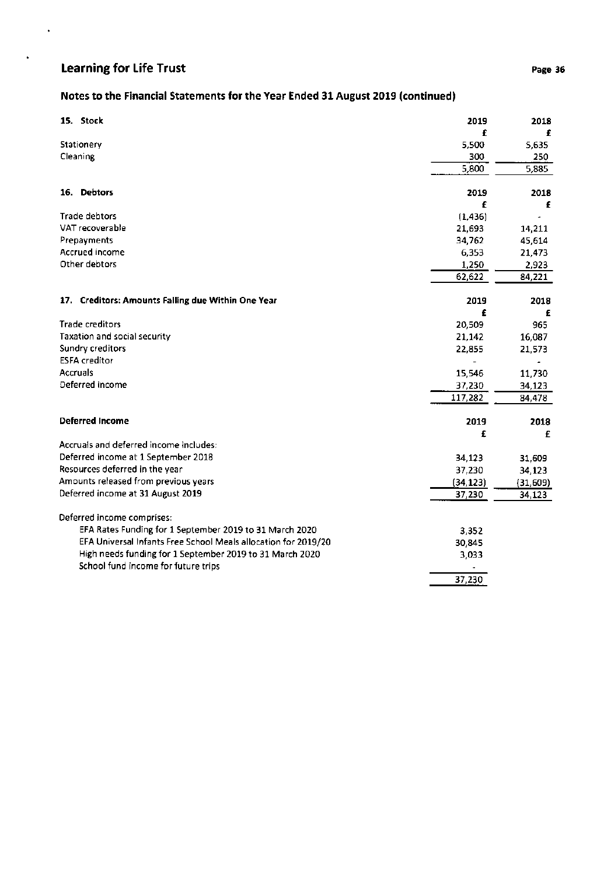$\hat{\boldsymbol{\beta}}$ 

 $\star$ 

# Notes to the Financial Statements for the Year Ended 31 August 2019 (continued)

| 15. Stock<br>2019                                                        | 2018     |
|--------------------------------------------------------------------------|----------|
|                                                                          | £        |
| Stationery<br>5,500                                                      | 5,635    |
| Cleaning<br>300                                                          | 250      |
| 5,800                                                                    | 5,885    |
| 16. Debtors<br>2019                                                      | 2018     |
|                                                                          | £<br>£   |
| <b>Trade debtors</b><br>(1, 436)                                         |          |
| VAT recoverable<br>21,693                                                | 14,211   |
| Prepayments<br>34,762                                                    | 45,614   |
| <b>Accrued income</b><br>6,353                                           | 21,473   |
| Other debtors<br>1,250                                                   | 2,923    |
| 62,622                                                                   | 84,221   |
| 17. Creditors: Amounts Falling due Within One Year<br>2019               | 2018     |
|                                                                          | £<br>£   |
| <b>Trade creditors</b><br>20,509                                         | 965      |
| <b>Taxation and social security</b><br>21,142                            | 16,087   |
| Sundry creditors<br>22,855                                               | 21,573   |
| <b>ESFA</b> creditor                                                     |          |
| <b>Accruals</b><br>15,546                                                | 11,730   |
| Deferred income<br>37,230                                                | 34,123   |
| 117,282                                                                  | 84,478   |
| <b>Deferred Income</b><br>2019                                           | 2018     |
|                                                                          | £<br>£   |
| Accruals and deferred income includes:                                   |          |
| Deferred income at 1 September 2018<br>34,123                            | 31,609   |
| Resources deferred in the year<br>37,230                                 | 34,123   |
| Amounts released from previous years<br>(34, 123)                        | (31,609) |
| Deferred income at 31 August 2019<br>37,230                              | 34,123   |
| Deferred income comprises:                                               |          |
| EFA Rates Funding for 1 September 2019 to 31 March 2020<br>3,352         |          |
| EFA Universal Infants Free School Meals allocation for 2019/20<br>30,845 |          |
| High needs funding for 1 September 2019 to 31 March 2020<br>3,033        |          |
| School fund income for future trips                                      |          |
| 37,230                                                                   |          |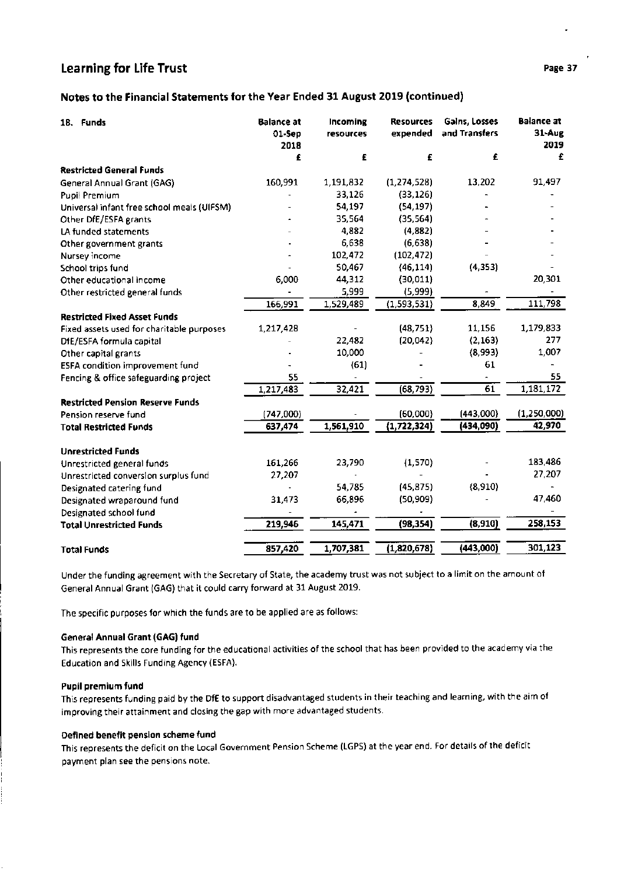# Notes to the Financial Statements for the Year Ended 31 August 2019 (continued)

| 18. Funds                                  | <b>Balance at</b><br>01-Sep<br>2018 | Incoming<br>resources | <b>Resources</b><br>expended | Galns, Losses<br>and Transfers | <b>Balance at</b><br>31-Aug<br>2019 |
|--------------------------------------------|-------------------------------------|-----------------------|------------------------------|--------------------------------|-------------------------------------|
|                                            | £                                   | £                     | £                            | £                              | £                                   |
| <b>Restricted General Funds</b>            |                                     |                       |                              |                                |                                     |
| General Annual Grant (GAG)                 | 160,991                             | 1,191,832             | (1, 274, 528)                | 13,202                         | 91,497                              |
| <b>Pupil Premium</b>                       |                                     | 33,126                | (33, 126)                    |                                |                                     |
| Universal infant free school meals (UIFSM) |                                     | 54,197                | (54, 197)                    |                                |                                     |
| Other DfE/ESFA grants                      |                                     | 35,564                | (35, 564)                    |                                |                                     |
| LA funded statements                       |                                     | 4,882                 | (4,882)                      |                                |                                     |
| Other government grants                    |                                     | 6,638                 | (6,638)                      |                                |                                     |
| Nursey income                              |                                     | 102,472               | (102, 472)                   |                                |                                     |
| School trips fund                          |                                     | 50,467                | (46, 114)                    | (4, 353)                       |                                     |
| Other educational income                   | 6,000                               | 44,312                | (30, 011)                    |                                | 20,301                              |
| Other restricted general funds             |                                     | 5,999                 | (5,999)                      |                                |                                     |
|                                            | 166,991                             | 1,529,489             | (1,593,531)                  | 8,849                          | 111,798                             |
| <b>Restricted Fixed Asset Funds</b>        |                                     |                       |                              |                                |                                     |
| Fixed assets used for charitable purposes  | 1,217,428                           |                       | (48, 751)                    | 11,156                         | 1,179,833                           |
| DfE/ESFA formula capital                   |                                     | 22,482                | (20,042)                     | (2, 163)                       | 277                                 |
| Other capital grants                       |                                     | 10,000                |                              | (8,993)                        | 1,007                               |
| <b>ESFA condition improvement fund</b>     |                                     | (61)                  |                              | 61                             |                                     |
| Fencing & office safeguarding project      | 55                                  |                       |                              |                                | 55                                  |
|                                            | 1,217,483                           | 32,421                | (68, 793)                    | $\overline{61}$                | 1,181,172                           |
| <b>Restricted Pension Reserve Funds</b>    |                                     |                       |                              |                                |                                     |
| Pension reserve fund                       | (747,000)                           |                       | (60,000)                     | (443,000)                      | (1, 250, 000)                       |
| <b>Total Restricted Funds</b>              | 637,474                             | 1,561,910             | (1,722,324)                  | (434,090)                      | 42,970                              |
| <b>Unrestricted Funds</b>                  |                                     |                       |                              |                                |                                     |
| Unrestricted general funds                 | 161,266                             | 23,790                | (1,570)                      |                                | 183,486                             |
| Unrestricted conversion surplus fund       | 27,207                              |                       |                              |                                | 27,207                              |
| Designated catering fund                   |                                     | 54,785                | (45, 875)                    | (8,910)                        |                                     |
| Designated wraparound fund                 | 31,473                              | 66,896                | (50, 909)                    |                                | 47,460                              |
| Designated school fund                     |                                     |                       |                              |                                |                                     |
| <b>Total Unrestricted Funds</b>            | 219,946                             | 145,471               | (98, 354)                    | (8,910)                        | 258,153                             |
| <b>Total Funds</b>                         | 857,420                             | 1,707,381             | (1,820,678)                  | (443,000)                      | 301,123                             |

Under the funding agreement with the Secretary of State, the academy trust was not subject to a limit on the amount of General Annual Grant (GAG) that it could carry fonvard at 31 August 2019.

The specific purposes for which the funds are to be applied are as follows:

#### General Annual Grant (GAG) fund

This represents the core funding for the educational activities of the school that has been provided to the academy via the Education and Skills Funding Agency (ESFA).

#### Pupil premium fund

This represents funding paid by the DfE to support disadvantaged students in their teaching and learning, with the aim of improving their attainment and closing the gap with more advantaged students.

#### Defined benefit pension scheme fund

This represents the deficit on the Local Government Pension Scheme (LGPS) at the year end. For details of the deficit payment plan see the pensions note.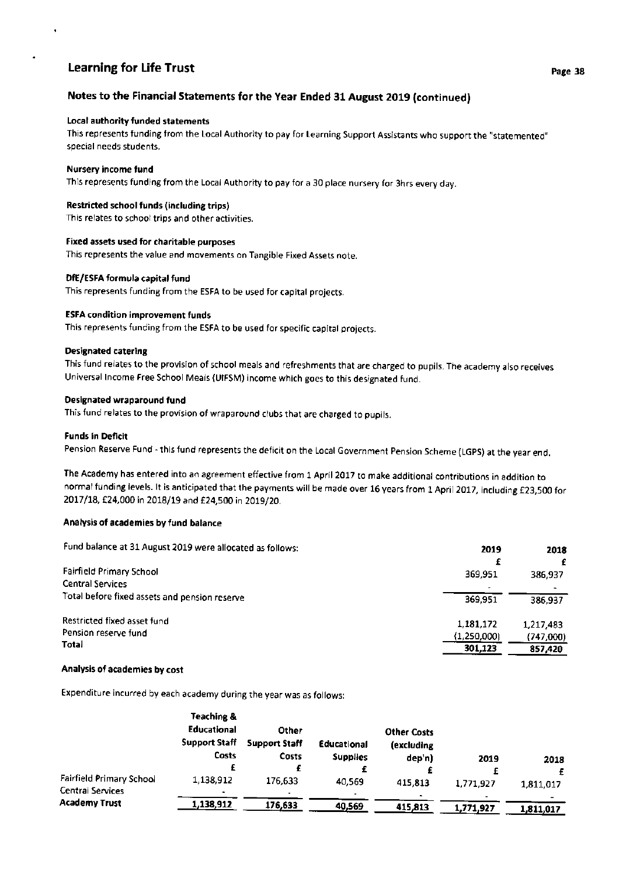## Local authority funded statements

This represents funding from the Local Authority to pay for Learning Support Assistants who support the "statemented" special needs students.

## Nursery income fund

This represents funding from the Local Authority to pay for a 30 place nursery for 3hrs every day.

## Restricted school funds (including trips)

This relates to school trips and other activities.

## Fixed assets used for charitable purposes

This represents the value and movements on Tangible Fixed Assets note.

## DfE/ESFA formula capital fund

This represents funding from the ESFA to be used for capital projects.

## ESFA condition improvement funds

This represents funding from the ESFA to be used for specific capital projects.

## Designated catering

This fund relates to the provision of school meals and refreshments that are charged to pupils. The academy also receives Universal lncome Free School Meals (UIFSM) income which goes to this designated fund,

## Designated wraparound fund

This fund relates to the provision of wraparound clubs that are charged to pupils.

## Funds in Deficit

Pension Reserve Fund - this fund represents the deficit on the Local Government Pension Scheme (LGpS) at the year end.

The Academy has entered into an agreement effective from 1 April 2017 to make additional contributions in addition to normal funding levels. It is anticipated that the payments will be made over 16 years from 1 April 2017, including £23,500 for 2017/18, £24,000 in 2018/19 and £24,500 in 2019/20.

#### Analysis of academies by fund balance

| 2019        | 2018      |
|-------------|-----------|
|             |           |
|             | 386,937   |
|             |           |
| 369.951     | 386.937   |
| 1,181,172   | 1,217,483 |
| (1,250,000) | (747,000) |
| 301,123     | 857,420   |
|             | 369.951   |

#### Analysis of academies by cost

Expenditure incurred by each academy during the year was as follows:

|                                              | Teaching &<br><b>Educational</b><br><b>Support Staff</b><br>Costs | Other<br><b>Support Staff</b><br><b>Costs</b> | Educational<br><b>Supplies</b> | <b>Other Costs</b><br>(excluding<br>dep'n) | 2019      | 2018      |
|----------------------------------------------|-------------------------------------------------------------------|-----------------------------------------------|--------------------------------|--------------------------------------------|-----------|-----------|
|                                              |                                                                   |                                               |                                |                                            |           |           |
| Fairfield Primary School<br>Central Services | 1,138,912<br>$\blacksquare$                                       | 176,633                                       | 40,569                         | 415,813                                    | 1,771,927 | 1,811,017 |
| <b>Academy Trust</b>                         | 1,138,912                                                         | 176,633                                       | 40,569                         | 415,813                                    | 1,771,927 | 1,811,017 |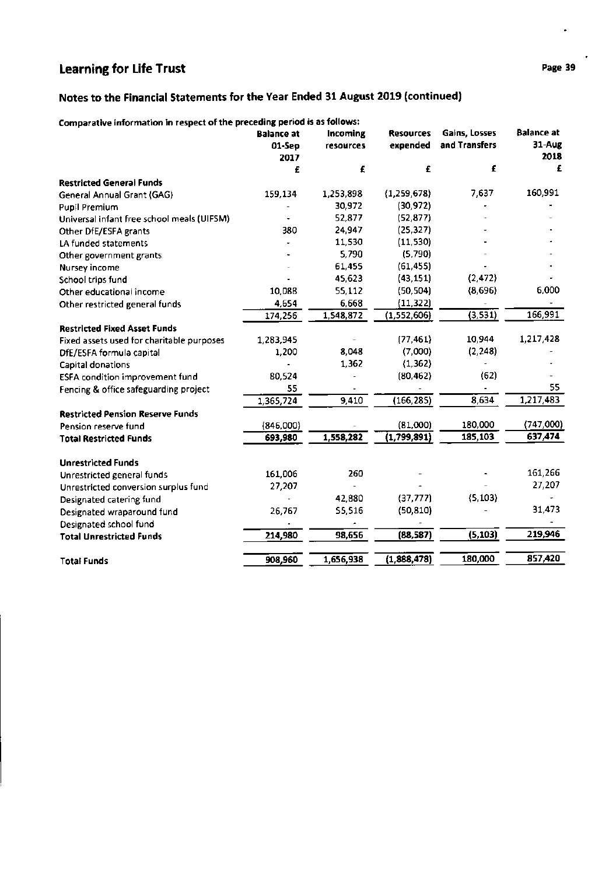# Notes to the Financial Statements for the Year Ended 31 August 2019 (continued)

| Comparative information in respect of the preceding period is as follows: |  |  |
|---------------------------------------------------------------------------|--|--|
|                                                                           |  |  |

|                                            | <b>Balance at</b><br>01-Sep<br>2017 | Incoming<br>resources | <b>Resources</b><br>expended | Gains, Losses<br>and Transfers | <b>Balance at</b><br>31-Aug<br>2018 |
|--------------------------------------------|-------------------------------------|-----------------------|------------------------------|--------------------------------|-------------------------------------|
|                                            | £                                   | £                     | £                            | £                              | £                                   |
| <b>Restricted General Funds</b>            |                                     |                       |                              |                                |                                     |
| General Annual Grant (GAG)                 | 159,134                             | 1,253,898             | (1,259,678)                  | 7,637                          | 160,991                             |
| Pupil Premium                              |                                     | 30,972                | (30, 972)                    |                                |                                     |
| Universal infant free school meals (UIFSM) |                                     | 52,877                | (52, 877)                    |                                |                                     |
| Other DfE/ESFA grants                      | 380                                 | 24,947                | (25, 327)                    |                                |                                     |
| LA funded statements                       |                                     | 11,530                | (11, 530)                    |                                |                                     |
| Other government grants                    |                                     | 5,790                 | (5,790)                      |                                |                                     |
| Nursey income                              |                                     | 61,455                | (61, 455)                    |                                |                                     |
| School trips fund                          |                                     | 45,623                | (43, 151)                    | (2, 472)                       |                                     |
| Other educational income                   | 10,088                              | 55,112                | (50, 504)                    | (8,696)                        | 6,000                               |
| Other restricted general funds             | 4,654                               | 6,668                 | (11, 322)                    |                                |                                     |
|                                            | 174,256                             | 1,548,872             | (1,552,606)                  | (3,531)                        | 166,991                             |
| <b>Restricted Fixed Asset Funds</b>        |                                     |                       |                              |                                |                                     |
| Fixed assets used for charitable purposes  | 1,283,945                           |                       | (77, 461)                    | 10,944                         | 1,217,428                           |
| DfE/ESFA formula capital                   | 1,200                               | 8,048                 | (7,000)                      | (2, 248)                       |                                     |
| Capital donations                          |                                     | 1,362                 | (1, 362)                     |                                |                                     |
| ESFA condition improvement fund            | 80,524                              |                       | (80, 462)                    | (62)                           |                                     |
| Fencing & office safeguarding project      | 55                                  |                       |                              |                                | 55                                  |
|                                            | 1,365,724                           | 9,410                 | (166, 285)                   | 8,634                          | 1,217,483                           |
| <b>Restricted Pension Reserve Funds</b>    |                                     |                       |                              |                                |                                     |
| Pension reserve fund                       | (846,000)                           |                       | (81,000)                     | 180,000                        | (747,000)                           |
| <b>Total Restricted Funds</b>              | 693,980                             | 1,558,282             | (1,799,891)                  | 185,103                        | 637,474                             |
| <b>Unrestricted Funds</b>                  |                                     |                       |                              |                                |                                     |
| Unrestricted general funds                 | 161,006                             | 260                   |                              |                                | 161,266                             |
| Unrestricted conversion surplus fund       | 27,207                              |                       |                              |                                | 27,207                              |
| Designated catering fund                   |                                     | 42,880                | (37, 777)                    | (5, 103)                       |                                     |
| Designated wraparound fund                 | 26,767                              | 55,516                | (50, 810)                    |                                | 31,473                              |
| Designated school fund                     |                                     |                       |                              |                                |                                     |
| <b>Total Unrestricted Funds</b>            | 214,980                             | 98,656                | (88, 587)                    | (5, 103)                       | 219,946                             |
| <b>Total Funds</b>                         | 908,960                             | 1,656,938             | (1,888,478)                  | 180,000                        | 857,420                             |
|                                            |                                     |                       |                              |                                |                                     |

 $\ddot{\phantom{0}}$ 

 $\ddot{\phantom{0}}$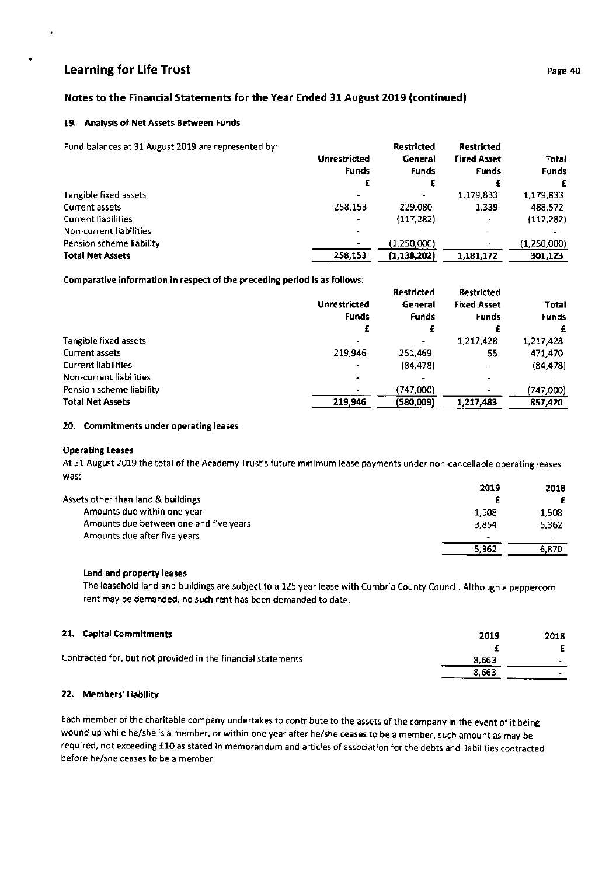# Notes to the Financial Statements for the Year Ended 31 August 2019 (continued)

#### 19. Analysis of Net Assets Between Funds

Fund balances at 31 August 2019 are represented by: Restricted Restricted Unrestricted General Fixed Asset Funds Funds Funds ff £ f 1,779,833 Tangible fixed assets  $\overline{a}$ Current assets 2s8,1s3 229,080 1,339 Current liabilities  $(117, 282)$ Non-current liabilities Pension scheme liability  $(1,250,000)$ <br>(1,138,202) 258,153 Total Net Assets \,18L,L72 3OL,L23

Comparative information in respect of the preceding period is as follows:

|                            |                     | <b>Restricted</b> | <b>Restricted</b>  |              |
|----------------------------|---------------------|-------------------|--------------------|--------------|
|                            | <b>Unrestricted</b> | General           | <b>Fixed Asset</b> | Total        |
|                            | <b>Funds</b>        | <b>Funds</b>      | <b>Funds</b>       | <b>Funds</b> |
|                            | £                   | £                 |                    | £            |
| Tangible fixed assets      |                     | ۰                 | 1,217,428          | 1,217,428    |
| Current assets             | 219,946             | 251,469           | 55                 | 471,470      |
| <b>Current liabilities</b> |                     | (84, 478)         | ۰                  | (84, 478)    |
| Non-current liabilities    |                     |                   |                    |              |
| Pension scheme liability   |                     | (747,000)         |                    | (747,000)    |
| <b>Total Net Assets</b>    | 219.946             | (580,009)         | 1,217,483          | 857,420      |

#### 20. Commitments under operating leases

#### Operating Leases

At 31 August 2019 the total of the Academy Trust's future minimum lease payments under non-cancellable operating leases was:

|                                        | 2019                     | 2018                     |
|----------------------------------------|--------------------------|--------------------------|
| Assets other than land & buildings     |                          |                          |
| Amounts due within one year            | 1,508                    | 1.508                    |
| Amounts due between one and five years | 3.854                    | 5.362                    |
| Amounts due after five years           | $\overline{\phantom{a}}$ | $\overline{\phantom{a}}$ |
|                                        | 5,362                    | 6.870                    |

#### land and property leases

The leasehold land and buildings are subject to a 125 year lease with Cumbria County Council. Although a peppercorn rent may be demanded, no such rent has been demanded to date.

| 21. Capital Commitments                                      | 2019  | 2018 |
|--------------------------------------------------------------|-------|------|
|                                                              |       |      |
| Contracted for, but not provided in the financial statements | 8.663 |      |
|                                                              | 8.663 |      |

# 22. Members' Liability

Each member of the charitable company undertakes to contribute to the assets of the company in the event of it being wound up while he/she is a member, or within one year after he/she ceases to be a member, such amount as may be required, not exceeding £10 as stated in memorandum and articles of association for the debts and liabilities contracted before he/she ceases to be a member.

Total Funds f

1,779,933 488,572  $(117,282)$ 

(1,250,000)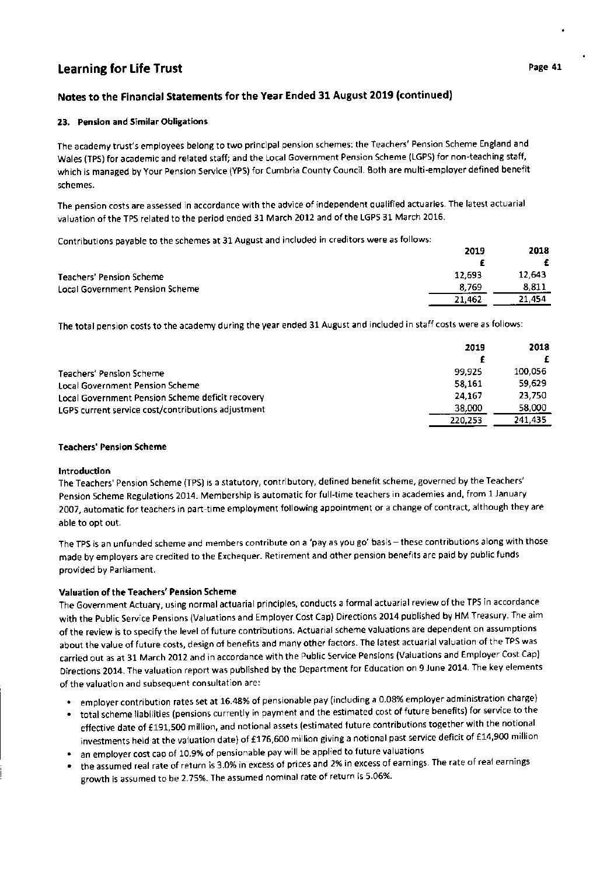# Notes to the Financial Statements for the Year Ended 31 August 2019 (continued)

## 23. Pension and Similar Obligations

The academy trust's employees belong to two principal pension schemes: the Teachers' Pension Scheme England and Wales (TPS) for academic and related staff; and the Local Government Pension Scheme (LGPS) for non-teaching staff, which is managed by Your Pension Service (YPS) for Cumbria County Council. Both are multi-employer defined benefit schemes.

The pension costs are assessed in accordance with the advice of independent qualified actuaries. The latest actuarial valuation of the TPS related tothe period ended 31 March 2012 and of the LGPS 31 March 2016.

Contributions payable to the schemes at 31 August and included in creditors were as follows:

|                                 | 2019   | 2018   |
|---------------------------------|--------|--------|
|                                 |        |        |
| Teachers' Pension Scheme        | 12,693 | 12.643 |
| Local Government Pension Scheme | 8.769  | 8.811  |
|                                 | 21,462 | 21.454 |

The total pension costs to the academy during the year ended 31 August and included in staff costs were as follows:

|                                                    | 2019    | 2018    |
|----------------------------------------------------|---------|---------|
|                                                    |         |         |
| Teachers' Pension Scheme                           | 99.925  | 100.056 |
| <b>Local Government Pension Scheme</b>             | 58.161  | 59,629  |
| Local Government Pension Scheme deficit recovery   | 24.167  | 23,750  |
| LGPS current service cost/contributions adjustment | 38,000  | 58,000  |
|                                                    | 220.253 | 241,435 |

## Teachers' Pension Scheme

#### lntroduction

The Teachers' Pension Scheme (TPS) is a statutory, contributory, defined benefit scheme, governed by the Teachers' Pension Scheme Regulations 2014. Membership is automatic for full-time teachers in academies and, from 1 January 2007, automatic for teachers in part-time employment following appointment or a change of contract, although they are able to opt out.

The TPS is an unfunded scheme and members contribute on a 'pay as you go' basis - these contributions along with those made by employers are credited to the Exchequer. Retirement and other pension benefits are paid by public funds provided by Parliament.

## Valuation of the Teachers' Pension Scheme

The Government Actuary, using normal actuarial principles, conducts a formal actuarial review of the TPS in accordance with the public Service pensions (Valuations and Employer Cost Cap) Directions 2014 published by HM Treasury. The aim of the review is to specify the level of future contributions. Actuarial scheme valuations are dependent on assumptions about the value of future costs, design of benefits and many other factors. The latest actuarial valuation of the TPS was carried out as at 31 March 2012 and in accordance with the Public Service Pensions (Valuations and Employer Cost Cap) Directions 2014. The valuation report was published by the Department for Education on 9 June 2014. The key elements of the valuation and subsequent consultation are:

- employer contribution rates set at 16.48% of pensionable pay (including a 0.08% employer administration charge)
- . total scheme liabilities (pensions currently in payment and the estimated cost of future benefits) for service to the effective date of £191,500 million, and notional assets (estimated future contributions together with the notional investments held at the valuation date) of £176,600 million giving a notional past service deficit of £14,900 million
- an employer cost cap of 10.9% of pensionable pay will be applied to future valuations
- the assumed real rate of return is 3.0% in excess of prices and 2% in excess of earnings. The rate of real earnings growth is assumed to be 2.75%. The assumed nominal rate of return is 5.06%.

20t<sub>9</sub>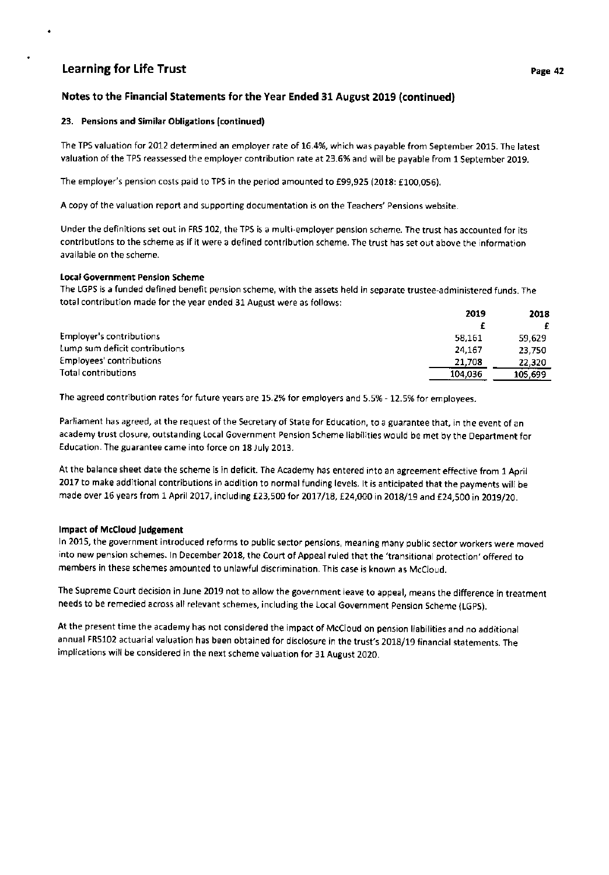# Notes to the Financial Statements for the Year Ended 31 August 2019 (continued)

## 23. Pensions and Similar Obligations (continued)

The TPS valuation for 2012 determined an employer rate of 16.4%, which was payable from September 2015. The latest valuation of the TPS reassessed the employer contribution rate at 23.6% and will be payable from 1 September 2019.

The employer's pension costs paid to TPS in the period amounted to £99,925 (2018: £100,056).

A copy of the valuation report and supporting documentation is on the Teachers' Pensions website.

Under the definitions set out in FRS 102, the TPS is a multi-employer pension scheme. The trust has accounted for its contributions to the scheme as if it were a defined contribution scheme. The trust has set out above the information available on the scheme.

## Local Government Pension Scheme

The LGPS is a funded defined benefit pension scheme, with the assets held in separate trustee-administered funds. The total contribution made for the year ended 31 August were as follows:

|                                | 2019    | 2018    |
|--------------------------------|---------|---------|
|                                |         |         |
| Employer's contributions       | 58.161  | 59.629  |
| Lump sum deficit contributions | 24.167  | 23,750  |
| Employees' contributions       | 21.708  | 22.320  |
| Total contributions            | 104,036 | 105,699 |

The agreed contribution rates for future years are 15.2% for employers and 5.5% - 12.5% for employees.

Parliament has agreed, at the request of the Secretary of State for Education, to a guarantee that, in the event of an academy trust closure, outstanding Local Government Pension Scheme Iiabilities would be met by the Department for Education. The guarantee came into force on 18 July 2013.

At the balance sheet date the scheme is in deficit, The Academy has entered into an agreement effective from 1 April <sup>2077</sup>to make additional contributions in addition to normal funding levels. lt is anticipated that the payments will be made over 16 years from 1 April 2017, including £23,500 for 2017/18, £24,000 in 2018/19 and £24,500 in 2019/20.

## lmpact of McCloud judgement

ln 2015, the government introduced reforms to public sector pensions, meaning many public sector workers were moved into new pension schemes. ln December 2018, the Court of Appeal ruled that the'transitional protection'offered to members in these schemes amounted to unlawful discrimination. This case is known as McCloud.

The Supreme Court decision in June 2019 not to allow the government leave to appeal, means the difference in treatment needs to be remedied across all relevant schemes, including the Local Government Pension Scheme (LGpS).

At the present time the academy has not considered the impact of McCloud on pension liabilities and no additional annual FRS102 actuarial valuation has been obtained for disclosure in the trust's 2018/19 financial statements. The implications will be considered in the next scheme valuation for 31 August 2020.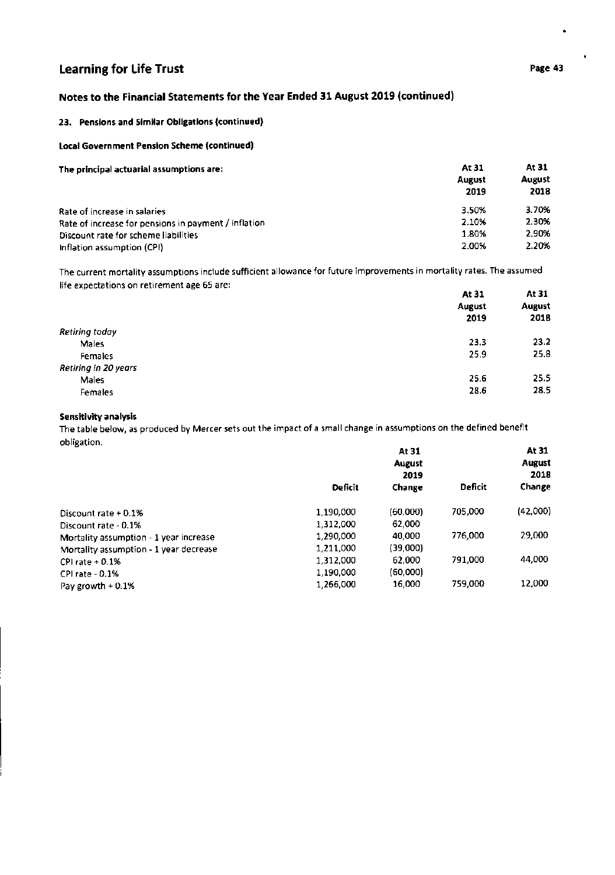# Notes to the Financial Statements for the Year Ended 31 August 2019 (continued)

# 23. Pensions and Similar Obligations (continued)

## Local Government Pension Scheme (contlnued)

| The principal actuarial assumptions are:             | At 31         | At 31<br>August |
|------------------------------------------------------|---------------|-----------------|
|                                                      | <b>August</b> |                 |
|                                                      | 2019          | 2018            |
| Rate of increase in salaries                         | 3.50%         | 3.70%           |
| Rate of increase for pensions in payment / inflation | 2.10%         | 2.30%           |
| Discount rate for scheme liabilities                 | 1.80%         | 2.90%           |
| Inflation assumption (CPI)                           | 2.00%         | 2.20%           |

The current mortality assumptions include sufficient allowance for future improvements in mortality rates. The assumed life expectations on retirement age 65 are:

| . .                  | At 31  | At 31<br><b>August</b><br>2018 |
|----------------------|--------|--------------------------------|
|                      | August |                                |
|                      | 2019   |                                |
| Retiring today       |        |                                |
| Males                | 23.3   | 23.2                           |
| <b>Females</b>       | 25.9   | 25.8                           |
| Retiring in 20 years |        |                                |
| Males                | 25.6   | 25.5                           |
| Females              | 28.6   | 28.5                           |

## Sensitivity analysis

The table below, as produced by Mercer sets out the impact of a small change in assumptions on the defined benefit obligation.

| <b>OWNEDCION.</b>                      |           | At 31<br><b>August</b><br>2019 |                | At 31<br><b>August</b><br>2018 |
|----------------------------------------|-----------|--------------------------------|----------------|--------------------------------|
|                                        | Deficit   | Change                         | <b>Deficit</b> | Change                         |
| Discount rate $+0.1%$                  | 1,190,000 | (60,000)                       | 705,000        | (42,000)                       |
| Discount rate - 0.1%                   | 1,312,000 | 62,000                         |                |                                |
| Mortality assumption - 1 year increase | 1,290,000 | 40,000                         | 776,000        | 29,000                         |
| Mortality assumption - 1 year decrease | 1,211,000 | (39,000)                       |                |                                |
| CPI rate $+0.1%$                       | 1,312,000 | 62,000                         | 791.000        | 44,000                         |
| CPI rate - 0.1%                        | 1,190,000 | (60,000)                       |                |                                |
| Pay growth $+0.1%$                     | 1,266,000 | 16,000                         | 759,000        | 12,000                         |

 $\ddot{\phantom{0}}$ 

 $\ddot{\phantom{0}}$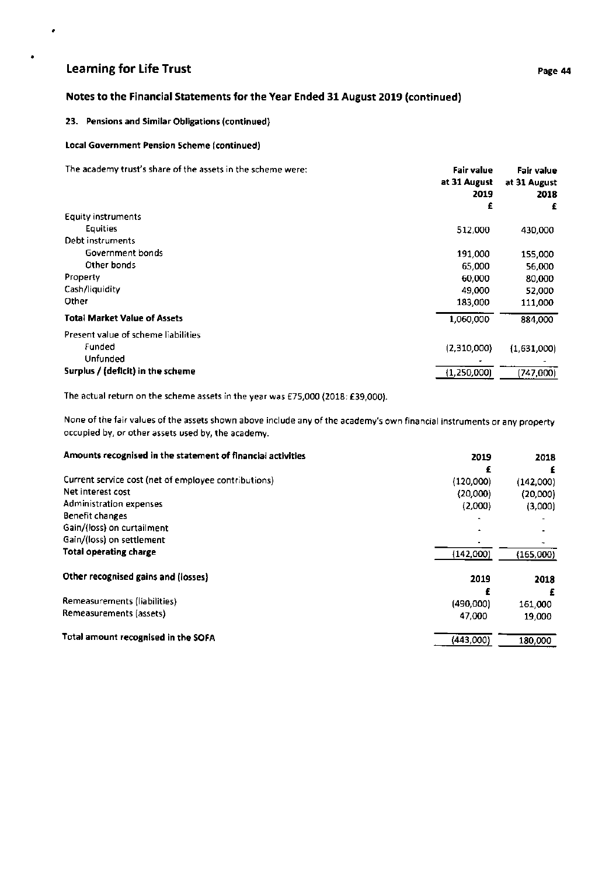$\bullet$ 

# Notes to the Financial Statements for the Year Ended 31 August 2019 (continued)

## 23. Pensions and Similar Obligations (continued)

#### Loca! Government Pension Scheme (continued)

The academy trust's share of the assets in the scheme were:

|                                     | at 31 August<br>2019<br>£ | at 31 August<br>2018<br>£ |
|-------------------------------------|---------------------------|---------------------------|
| <b>Equity instruments</b>           |                           |                           |
| <b>Equities</b>                     | 512,000                   | 430,000                   |
| Debt instruments                    |                           |                           |
| Government bonds                    | 191,000                   | 155,000                   |
| Other bonds                         | 65,000                    | 56.000                    |
| Property                            | 60,000                    | 80,000                    |
| Cash/liquidity                      | 49,000                    | 52,000                    |
| Other                               | 183,000                   | 111,000                   |
| <b>Total Market Value of Assets</b> | 1,060,000                 | 884,000                   |
| Present value of scheme liabilities |                           |                           |
| Funded                              | (2,310,000)               | (1,631,000)               |
| Unfunded                            |                           |                           |
| Surplus / (deficit) in the scheme   | (1, 250, 000)             | (747,000)                 |

The actual return on the scheme assets in the year was €75,000 (2018: f39,000).

None of the fair values of the assets shown above include any of the academy's own financial instruments or any property occupied by, or other assets used by, the academy.

| Amounts recognised in the statement of financial activities | 2019      | 2018      |
|-------------------------------------------------------------|-----------|-----------|
|                                                             | £         | £         |
| Current service cost (net of employee contributions)        | (120,000) | (142,000) |
| Net interest cost                                           | (20,000)  | (20,000)  |
| Administration expenses                                     | (2,000)   | (3,000)   |
| Benefit changes                                             |           |           |
| Gain/(loss) on curtailment                                  |           |           |
| Gain/(loss) on settlement                                   |           |           |
| Total operating charge                                      | (142,000) | (165,000) |
| Other recognised gains and (losses)                         | 2019      | 2018      |
|                                                             |           |           |
| Remeasurements (liabilities)                                | (490,000) | 161,000   |
| Remeasurements (assets)                                     | 47,000    | 19,000    |
| Total amount recognised in the SOFA                         | (443,000) | 180,000   |

Fair value Fair value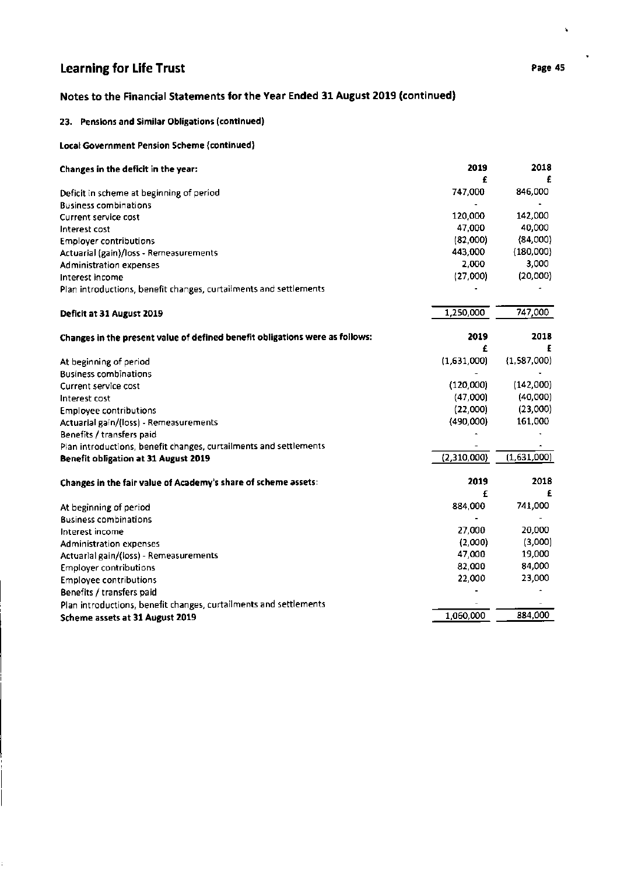# Notes to the Financial Statements for the Year Ended 31 August 2019 (continued)

# 23. Pensions and Similar Obligations (continued)

# local Government Pension Scheme (continued)

| Changes in the deficit in the year:                                          | 2019<br>£   | 2018        |
|------------------------------------------------------------------------------|-------------|-------------|
| Deficit in scheme at beginning of period                                     | 747,000     | 846,000     |
| <b>Business combinations</b>                                                 |             |             |
| <b>Current service cost</b>                                                  | 120,000     | 142,000     |
| Interest cost                                                                | 47,000      | 40,000      |
| <b>Employer contributions</b>                                                | (82,000)    | (84,000)    |
| Actuarial (gain)/loss - Remeasurements                                       | 443,000     | (180,000)   |
| <b>Administration expenses</b>                                               | 2,000       | 3,000       |
| Interest income                                                              | (27,000)    | (20,000)    |
| Plan introductions, benefit changes, curtailments and settlements            |             |             |
| Deficit at 31 August 2019                                                    | 1,250,000   | 747,000     |
| Changes in the present value of defined benefit obligations were as follows: | 2019        | 2018        |
|                                                                              | £           |             |
| At beginning of period                                                       | (1,631,000) | (1,587,000) |
| <b>Business combinations</b>                                                 |             |             |
| Current service cost                                                         | (120,000)   | (142,000)   |
| Interest cost                                                                | (47,000)    | (40,000)    |
| <b>Employee contributions</b>                                                | (22,000)    | (23,000)    |
| Actuarial gain/(loss) - Remeasurements                                       | (490,000)   | 161,000     |
| Benefits / transfers paid                                                    |             |             |
| Plan introductions, benefit changes, curtailments and settlements            |             |             |
| <b>Benefit obligation at 31 August 2019</b>                                  | (2,310,000) | (1,631,000) |
| Changes in the fair value of Academy's share of scheme assets:               | 2019        | 2018        |
|                                                                              | £           | £           |
| At beginning of period                                                       | 884,000     | 741,000     |
| <b>Business combinations</b>                                                 |             |             |
| Interest income                                                              | 27,000      | 20,000      |
| <b>Administration expenses</b>                                               | (2,000)     | (3,000)     |
| Actuarial gain/(loss) - Remeasurements                                       | 47,000      | 19,000      |
| <b>Employer contributions</b>                                                | 82,000      | 84,000      |
| <b>Employee contributions</b>                                                | 22,000      | 23,000      |
| Benefits / transfers paid                                                    |             |             |
| Plan introductions, benefit changes, curtailments and settlements            |             |             |
| Scheme assets at 31 August 2019                                              | 1,060,000   | 884,000     |

í,

 $\blacksquare$